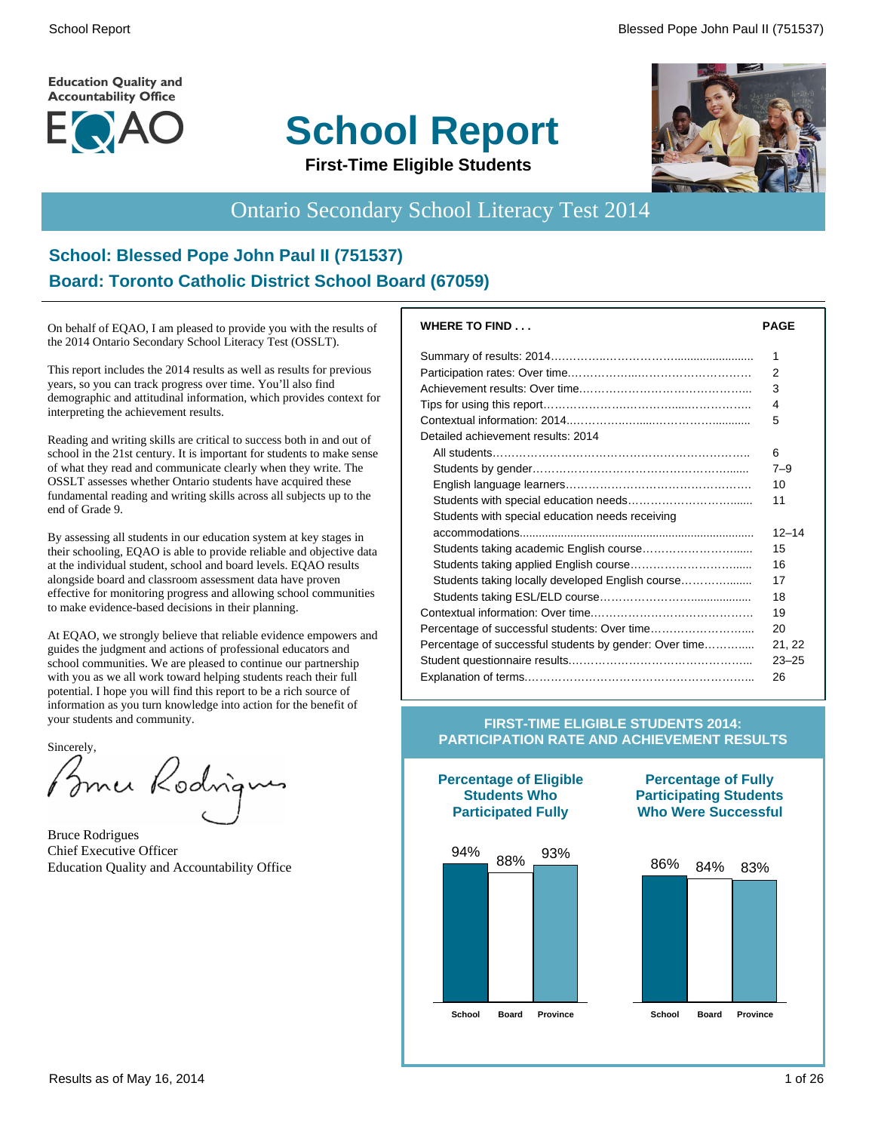**Education Quality and Accountability Office** 



# **School Report**



#### **First-Time Eligible Students**

# Ontario Secondary School Literacy Test 2014

#### **School: Blessed Pope John Paul II (751537) Board: Toronto Catholic District School Board (67059)**

On behalf of EQAO, I am pleased to provide you with the results of the 2014 Ontario Secondary School Literacy Test (OSSLT).

This report includes the 2014 results as well as results for previous years, so you can track progress over time. You'll also find demographic and attitudinal information, which provides context for interpreting the achievement results.

Reading and writing skills are critical to success both in and out of school in the 21st century. It is important for students to make sense of what they read and communicate clearly when they write. The OSSLT assesses whether Ontario students have acquired these fundamental reading and writing skills across all subjects up to the end of Grade 9.

By assessing all students in our education system at key stages in their schooling, EQAO is able to provide reliable and objective data at the individual student, school and board levels. EQAO results alongside board and classroom assessment data have proven effective for monitoring progress and allowing school communities to make evidence-based decisions in their planning.

At EQAO, we strongly believe that reliable evidence empowers and guides the judgment and actions of professional educators and school communities. We are pleased to continue our partnership with you as we all work toward helping students reach their full potential. I hope you will find this report to be a rich source of information as you turn knowledge into action for the benefit of your students and community.

Sincerely,

Brner Kodrigues

Bruce Rodrigues Chief Executive Officer Education Quality and Accountability Office

| <b>PAGE</b> |
|-------------|
| 1           |
| 2           |
| 3           |
| 4           |
| 5           |
|             |
| 6           |
| $7 - 9$     |
| 10          |
| 11          |
|             |
| $12 - 14$   |
| 15          |
| 16          |
| 17          |
| 18          |
| 19          |
| 20          |
| 21, 22      |
| $23 - 25$   |
| 26          |
|             |

#### **FIRST-TIME ELIGIBLE STUDENTS 2014: PARTICIPATION RATE AND ACHIEVEMENT RESULTS**

**Percentage of Eligible Students Who Participated Fully**



#### **Percentage of Fully Participating Students Who Were Successful**

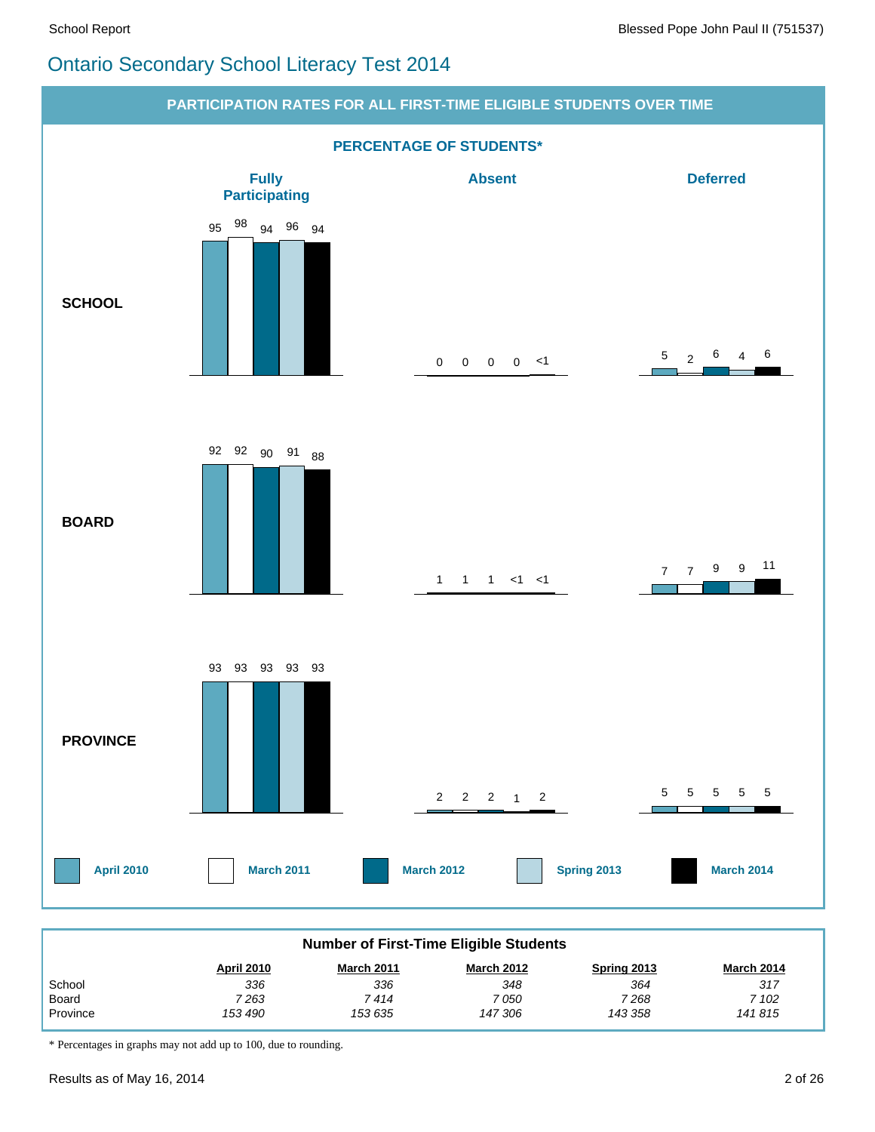#### Ontario Secondary School Literacy Test 2014



| <b>Number of First-Time Eligible Students</b>                                                   |       |       |       |      |       |  |  |  |  |
|-------------------------------------------------------------------------------------------------|-------|-------|-------|------|-------|--|--|--|--|
| <b>March 2012</b><br><b>April 2010</b><br><b>March 2011</b><br><b>March 2014</b><br>Spring 2013 |       |       |       |      |       |  |  |  |  |
| School                                                                                          | 336   | 336   | 348   | 364  | 317   |  |  |  |  |
| Board                                                                                           | 7 263 | 7 414 | 7 050 | 7268 | 7 102 |  |  |  |  |
| Province<br>153 635<br>147 306<br>143 358<br>141815<br>153 490                                  |       |       |       |      |       |  |  |  |  |

\* Percentages in graphs may not add up to 100, due to rounding.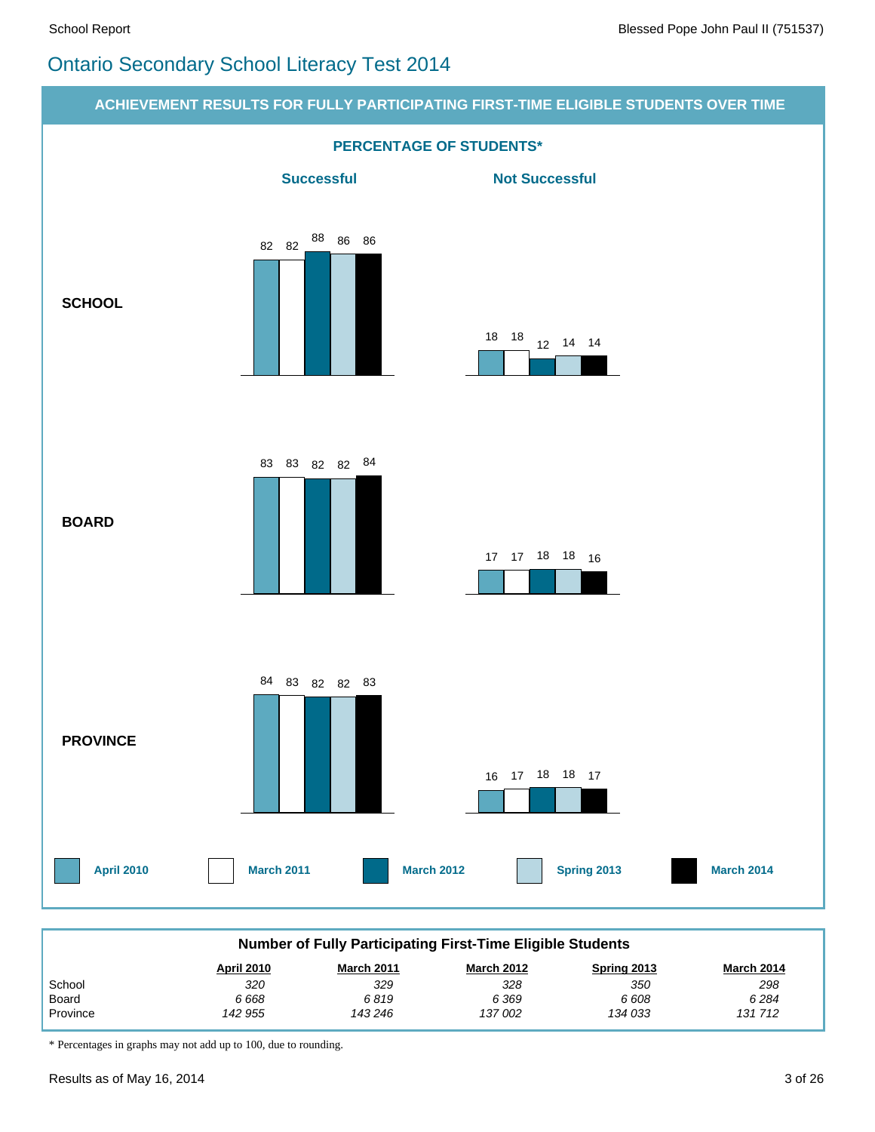# Ontario Secondary School Literacy Test 2014



\* Percentages in graphs may not add up to 100, due to rounding.

 *142 955*

 *143 246*

 *137 002*

 *134 033*

Province

 *131 712*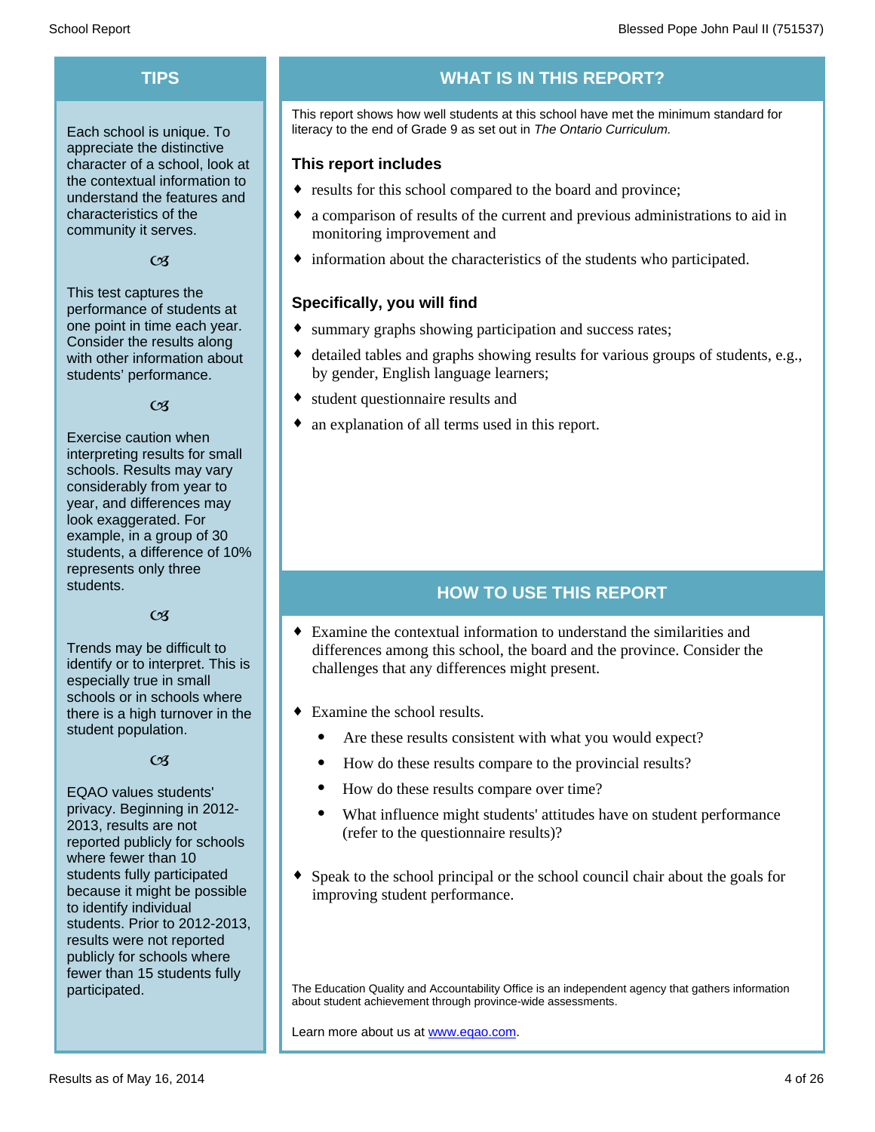Each school is unique. To appreciate the distinctive character of a school, look at the contextual information to understand the features and characteristics of the community it serves.

#### $C<sub>3</sub>$

This test captures the performance of students at one point in time each year. Consider the results along with other information about students' performance.

#### $\alpha$

Exercise caution when interpreting results for small schools. Results may vary considerably from year to year, and differences may look exaggerated. For example, in a group of 30 students, a difference of 10% represents only three students.

#### $C<sub>3</sub>$

Trends may be difficult to identify or to interpret. This is especially true in small schools or in schools where there is a high turnover in the student population.

#### $C<sub>3</sub>$

EQAO values students' privacy. Beginning in 2012- 2013, results are not reported publicly for schools where fewer than 10 students fully participated because it might be possible to identify individual students. Prior to 2012-2013, results were not reported publicly for schools where fewer than 15 students fully participated.

#### **TIPS WHAT IS IN THIS REPORT?**

This report shows how well students at this school have met the minimum standard for literacy to the end of Grade 9 as set out in *The Ontario Curriculum.*

#### **This report includes**

- results for this school compared to the board and province;
- a comparison of results of the current and previous administrations to aid in monitoring improvement and
- $\bullet$  information about the characteristics of the students who participated.

#### **Specifically, you will find**

- summary graphs showing participation and success rates;
- $\bullet$  detailed tables and graphs showing results for various groups of students, e.g., by gender, English language learners;
- student questionnaire results and
- an explanation of all terms used in this report.

#### **HOW TO USE THIS REPORT**

- $\bullet$  Examine the contextual information to understand the similarities and differences among this school, the board and the province. Consider the challenges that any differences might present.
- $\bullet$  Examine the school results.
	- Are these results consistent with what you would expect?
	- · How do these results compare to the provincial results?
	- How do these results compare over time?
	- · What influence might students' attitudes have on student performance (refer to the questionnaire results)?
- $\bullet$  Speak to the school principal or the school council chair about the goals for improving student performance.

The Education Quality and Accountability Office is an independent agency that gathers information about student achievement through province-wide assessments.

Learn more about us at www.eqao.com.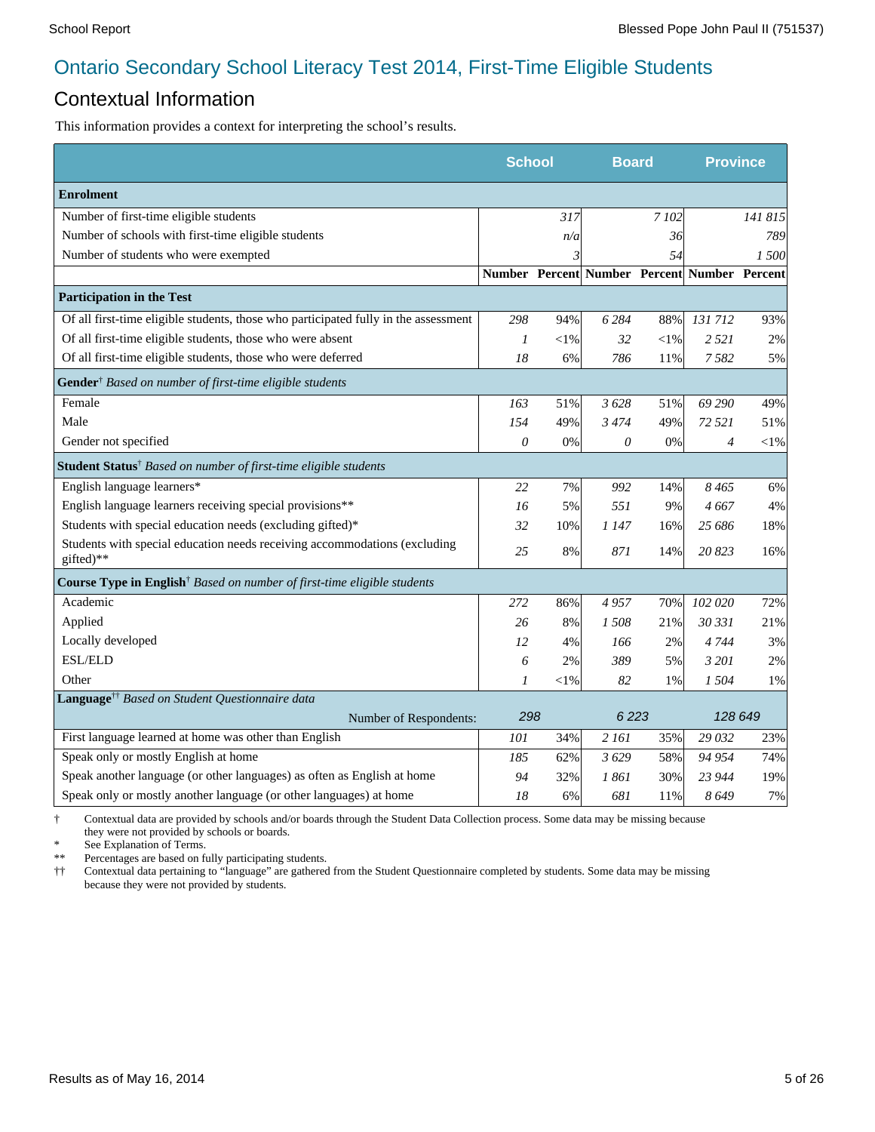#### Contextual Information

This information provides a context for interpreting the school's results.

|                                                                                        |                  | <b>School</b><br><b>Board</b> |                                              |        | <b>Province</b> |         |
|----------------------------------------------------------------------------------------|------------------|-------------------------------|----------------------------------------------|--------|-----------------|---------|
| <b>Enrolment</b>                                                                       |                  |                               |                                              |        |                 |         |
| Number of first-time eligible students                                                 |                  | 317                           |                                              | 7 102  |                 | 141 815 |
| Number of schools with first-time eligible students                                    |                  | n/a                           |                                              | 36     |                 | 789     |
| Number of students who were exempted                                                   |                  | 3                             |                                              | 54     |                 | 1 500   |
|                                                                                        |                  |                               | Number Percent Number Percent Number Percent |        |                 |         |
| <b>Participation in the Test</b>                                                       |                  |                               |                                              |        |                 |         |
| Of all first-time eligible students, those who participated fully in the assessment    | 298              | 94%                           | 6 2 8 4                                      | 88%    | 131712          | 93%     |
| Of all first-time eligible students, those who were absent                             | 1                | $<$ 1%                        | 32                                           | $<$ 1% | 2 5 2 1         | 2%      |
| Of all first-time eligible students, those who were deferred                           | 18               | 6%                            | 786                                          | 11%    | 7582            | 5%      |
| Gender <sup>†</sup> Based on number of first-time eligible students                    |                  |                               |                                              |        |                 |         |
| Female                                                                                 | 163              | 51%                           | 3628                                         | 51%    | 69 290          | 49%     |
| Male                                                                                   | 154              | 49%                           | 3474                                         | 49%    | 72 521          | 51%     |
| Gender not specified                                                                   | $\theta$         | 0%                            | 0                                            | 0%     | $\overline{4}$  | $<$ 1%  |
| <b>Student Status</b> <sup>†</sup> Based on number of first-time eligible students     |                  |                               |                                              |        |                 |         |
| English language learners*                                                             | 22               | 7%                            | 992                                          | 14%    | 8465            | 6%      |
| English language learners receiving special provisions**                               | 16               | 5%                            | 551                                          | 9%     | 4 667           | 4%      |
| Students with special education needs (excluding gifted)*                              | 32               | 10%                           | 1 147                                        | 16%    | 25 686          | 18%     |
| Students with special education needs receiving accommodations (excluding<br>gifted)** | 25               | 8%                            | 871                                          | 14%    | 20823           | 16%     |
| Course Type in English <sup>†</sup> Based on number of first-time eligible students    |                  |                               |                                              |        |                 |         |
| Academic                                                                               | 272              | 86%                           | 4957                                         | 70%    | 102 020         | 72%     |
| Applied                                                                                | 26               | 8%                            | 1508                                         | 21%    | 30 331          | 21%     |
| Locally developed                                                                      | 12               | 4%                            | 166                                          | 2%     | 4744            | 3%      |
| ESL/ELD                                                                                | 6                | 2%                            | 389                                          | 5%     | 3 201           | 2%      |
| Other                                                                                  | $\boldsymbol{l}$ | $<\!\!1\%$                    | 82                                           | 1%     | 1 504           | 1%      |
| Language <sup>††</sup> Based on Student Questionnaire data                             |                  |                               |                                              |        |                 |         |
| Number of Respondents:                                                                 | 298              |                               | 6223                                         |        | 128 649         |         |
| First language learned at home was other than English                                  | 101              | 34%                           | 2 161                                        | 35%    | 29 032          | 23%     |
| Speak only or mostly English at home                                                   | 185              | 62%                           | 3629                                         | 58%    | 94 954          | 74%     |
| Speak another language (or other languages) as often as English at home                | 94               | 32%                           | 1 861                                        | 30%    | 23 944          | 19%     |
| Speak only or mostly another language (or other languages) at home                     | 18               | 6%                            | 681                                          | 11%    | 8649            | 7%      |

† Contextual data are provided by schools and/or boards through the Student Data Collection process. Some data may be missing because they were not provided by schools or boards.

\* See Explanation of Terms.<br>\*\* Percentages are based on fix

Percentages are based on fully participating students.

†† Contextual data pertaining to "language" are gathered from the Student Questionnaire completed by students. Some data may be missing because they were not provided by students.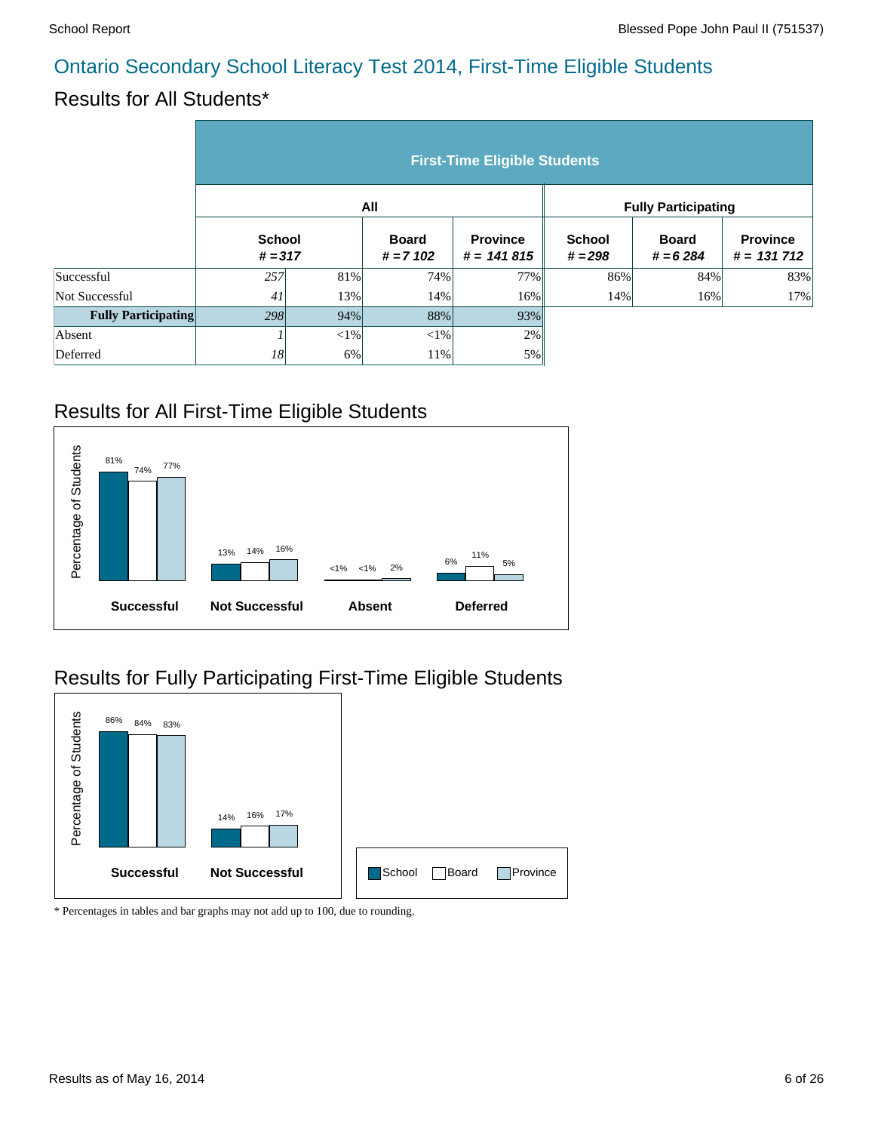# Results for All Students\*

|                            | <b>First-Time Eligible Students</b> |        |                            |                                 |                            |                            |                                  |  |  |  |
|----------------------------|-------------------------------------|--------|----------------------------|---------------------------------|----------------------------|----------------------------|----------------------------------|--|--|--|
|                            |                                     |        | All                        |                                 | <b>Fully Participating</b> |                            |                                  |  |  |  |
|                            | <b>School</b><br>$# = 317$          |        | <b>Board</b><br>$# = 7102$ | <b>Province</b><br>$# = 141815$ | <b>School</b><br>$# = 298$ | <b>Board</b><br>$# = 6284$ | <b>Province</b><br>$# = 131 712$ |  |  |  |
| Successful                 | 257                                 | 81%    | 74%                        | 77%                             | 86%                        | 84%                        | 83%                              |  |  |  |
| Not Successful             | 41                                  | 13%    | 14%                        | 16%                             | 14%                        | 16%                        | 17%                              |  |  |  |
| <b>Fully Participating</b> | 298                                 | 94%    | 88%                        | 93%                             |                            |                            |                                  |  |  |  |
| Absent                     |                                     | $<$ 1% | $<$ 1%                     | 2%                              |                            |                            |                                  |  |  |  |
| Deferred                   | 18                                  | 6%     | 11%                        | 5%                              |                            |                            |                                  |  |  |  |

#### Results for All First-Time Eligible Students



# Results for Fully Participating First-Time Eligible Students

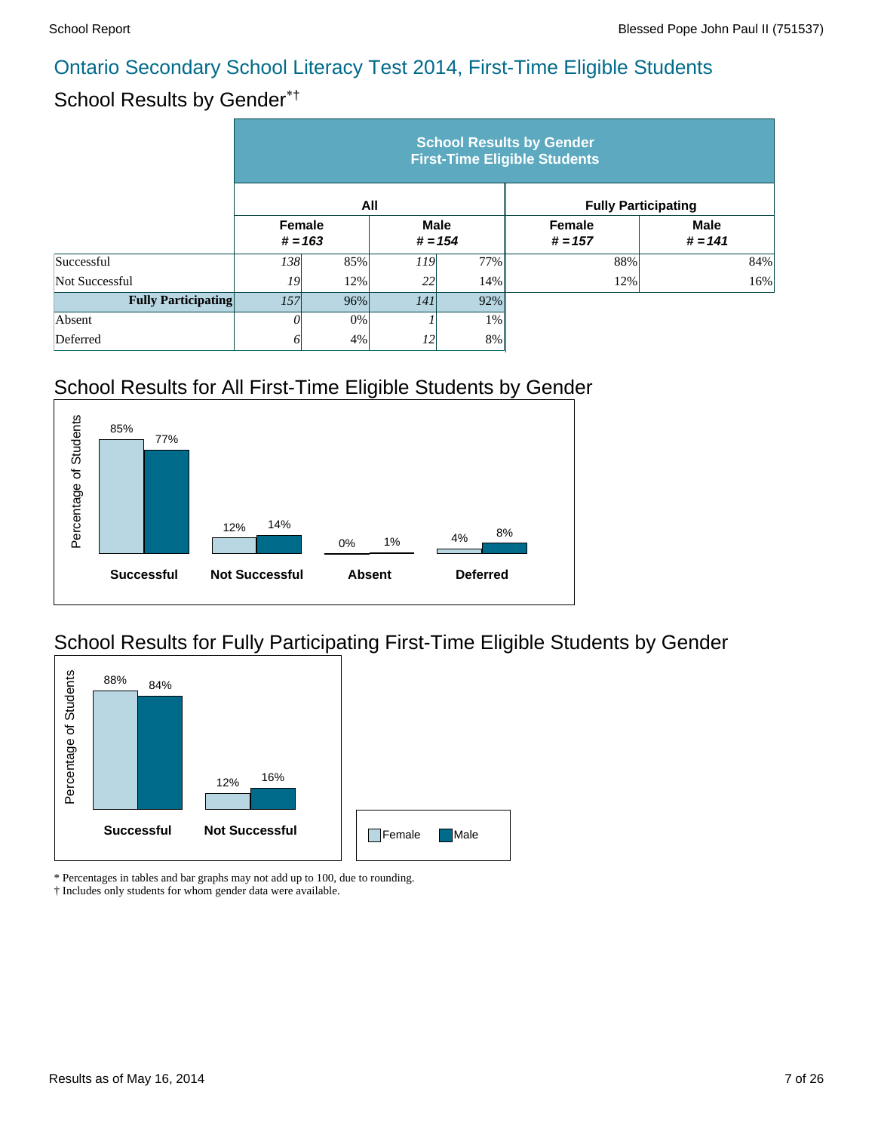# School Results by Gender\*†

|                            | <b>School Results by Gender</b><br><b>First-Time Eligible Students</b> |           |                          |       |                            |                            |  |  |  |  |
|----------------------------|------------------------------------------------------------------------|-----------|--------------------------|-------|----------------------------|----------------------------|--|--|--|--|
|                            |                                                                        |           | All                      |       |                            | <b>Fully Participating</b> |  |  |  |  |
|                            | <b>Female</b>                                                          | $# = 163$ | <b>Male</b><br>$# = 154$ |       | <b>Female</b><br>$# = 157$ | <b>Male</b><br>$# = 141$   |  |  |  |  |
| Successful                 | 138                                                                    | 85%       | <i>119</i>               | 77%   | 88%                        | 84%                        |  |  |  |  |
| Not Successful             | 19                                                                     | 12%       | 22                       | 14%   | 12%                        | 16%                        |  |  |  |  |
| <b>Fully Participating</b> | 157<br>96%                                                             |           | 141                      | 92%   |                            |                            |  |  |  |  |
| Absent                     |                                                                        | 0%        |                          | $1\%$ |                            |                            |  |  |  |  |
| Deferred                   |                                                                        | 4%        | 12                       | 8%    |                            |                            |  |  |  |  |

# School Results for All First-Time Eligible Students by Gender



# School Results for Fully Participating First-Time Eligible Students by Gender



\* Percentages in tables and bar graphs may not add up to 100, due to rounding.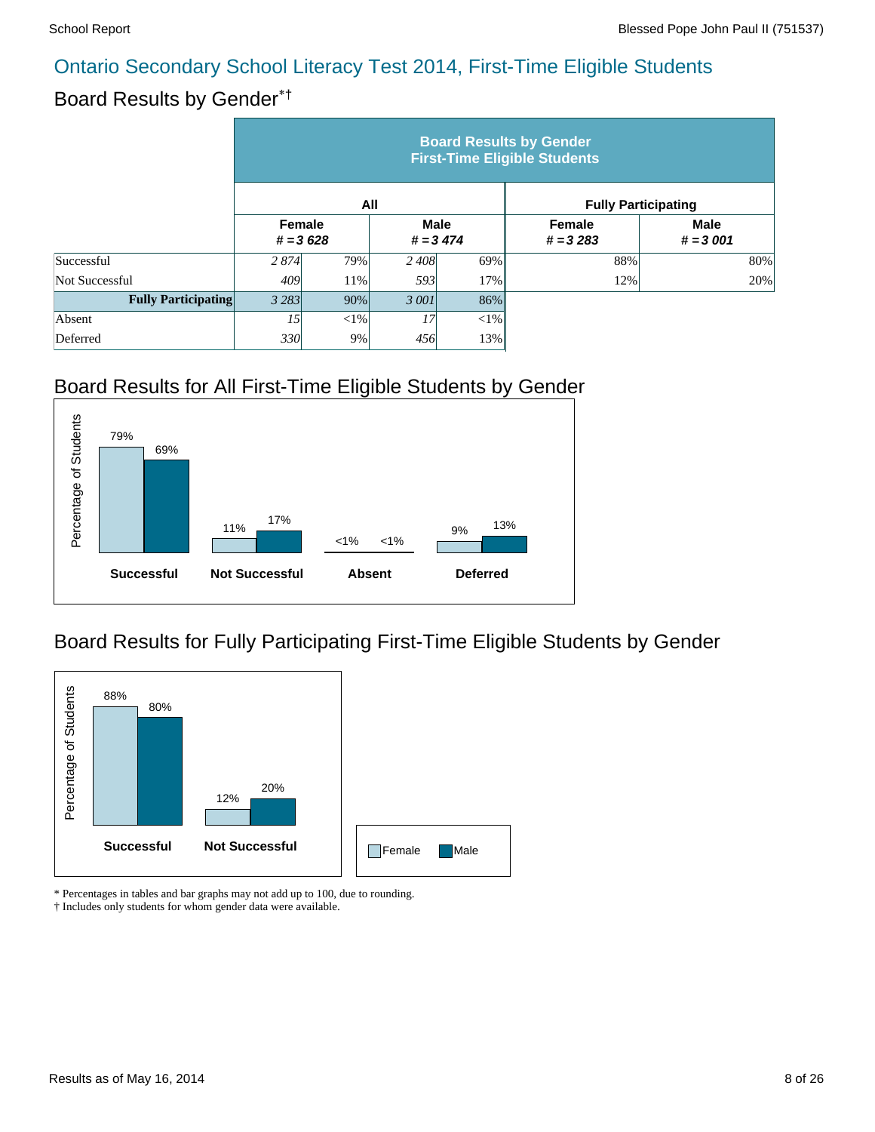#### Board Results by Gender\*†

|                            | <b>Board Results by Gender</b><br><b>First-Time Eligible Students</b> |            |                           |     |                             |                            |  |  |  |  |
|----------------------------|-----------------------------------------------------------------------|------------|---------------------------|-----|-----------------------------|----------------------------|--|--|--|--|
|                            |                                                                       | All        |                           |     |                             | <b>Fully Participating</b> |  |  |  |  |
|                            | <b>Female</b>                                                         | $# = 3628$ | <b>Male</b><br>$# = 3474$ |     | <b>Female</b><br>$# = 3283$ | <b>Male</b><br>$# = 3001$  |  |  |  |  |
| Successful                 | 2 8 7 4                                                               | 79%        | 2 408                     | 69% | 88%                         | 80%                        |  |  |  |  |
| Not Successful             | 409                                                                   | 11%        | 593                       | 17% | 12%                         | 20%                        |  |  |  |  |
| <b>Fully Participating</b> | 90%<br>3 2 8 3                                                        |            | 3 001                     | 86% |                             |                            |  |  |  |  |
| Absent                     | 15                                                                    | $<$ 1%     | 17                        | <1% |                             |                            |  |  |  |  |
| Deferred                   | 9%<br>330<br>13%<br>456                                               |            |                           |     |                             |                            |  |  |  |  |

# Board Results for All First-Time Eligible Students by Gender



#### Board Results for Fully Participating First-Time Eligible Students by Gender



\* Percentages in tables and bar graphs may not add up to 100, due to rounding.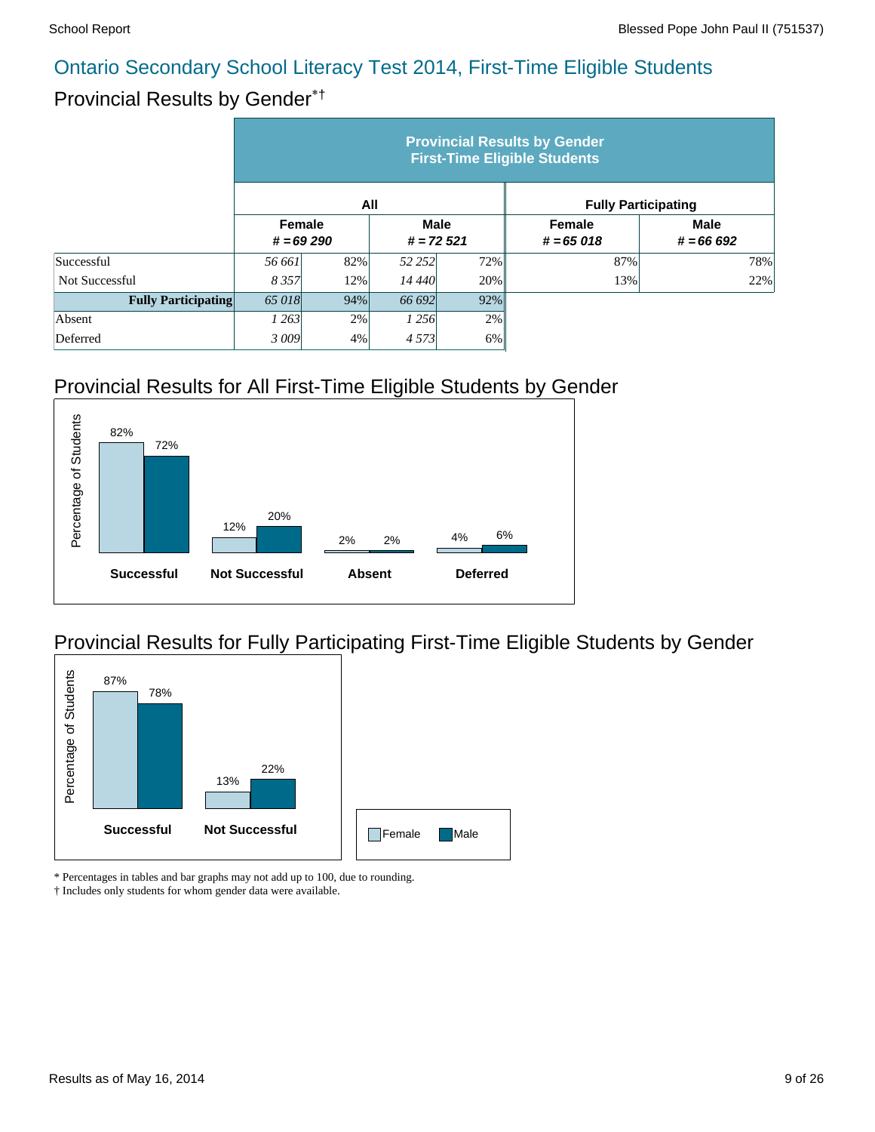# Provincial Results by Gender\*†

|                            | <b>Provincial Results by Gender</b><br><b>First-Time Eligible Students</b> |     |                            |        |                              |                            |  |  |  |  |
|----------------------------|----------------------------------------------------------------------------|-----|----------------------------|--------|------------------------------|----------------------------|--|--|--|--|
|                            |                                                                            | All |                            |        | <b>Fully Participating</b>   |                            |  |  |  |  |
|                            | <b>Female</b><br>$# = 69290$                                               |     | <b>Male</b><br>$# = 72521$ |        | <b>Female</b><br>$# = 65018$ | <b>Male</b><br>$# = 66692$ |  |  |  |  |
| Successful                 | 56 661                                                                     | 82% | 52 252                     | 72%    | 87%                          | 78%                        |  |  |  |  |
| <b>Not Successful</b>      | 8 3 5 7                                                                    | 12% | 14 440                     | 20%    | 13%                          | 22%                        |  |  |  |  |
| <b>Fully Participating</b> | 65 018<br>94%                                                              |     | 66 692                     | $92\%$ |                              |                            |  |  |  |  |
| Absent                     | 1 263                                                                      | 2%  | 1 2 5 6                    | 2%     |                              |                            |  |  |  |  |
| Deferred                   | 3009                                                                       | 4%  | 4 5 7 3                    | 6%     |                              |                            |  |  |  |  |

# Provincial Results for All First-Time Eligible Students by Gender



# Provincial Results for Fully Participating First-Time Eligible Students by Gender



\* Percentages in tables and bar graphs may not add up to 100, due to rounding.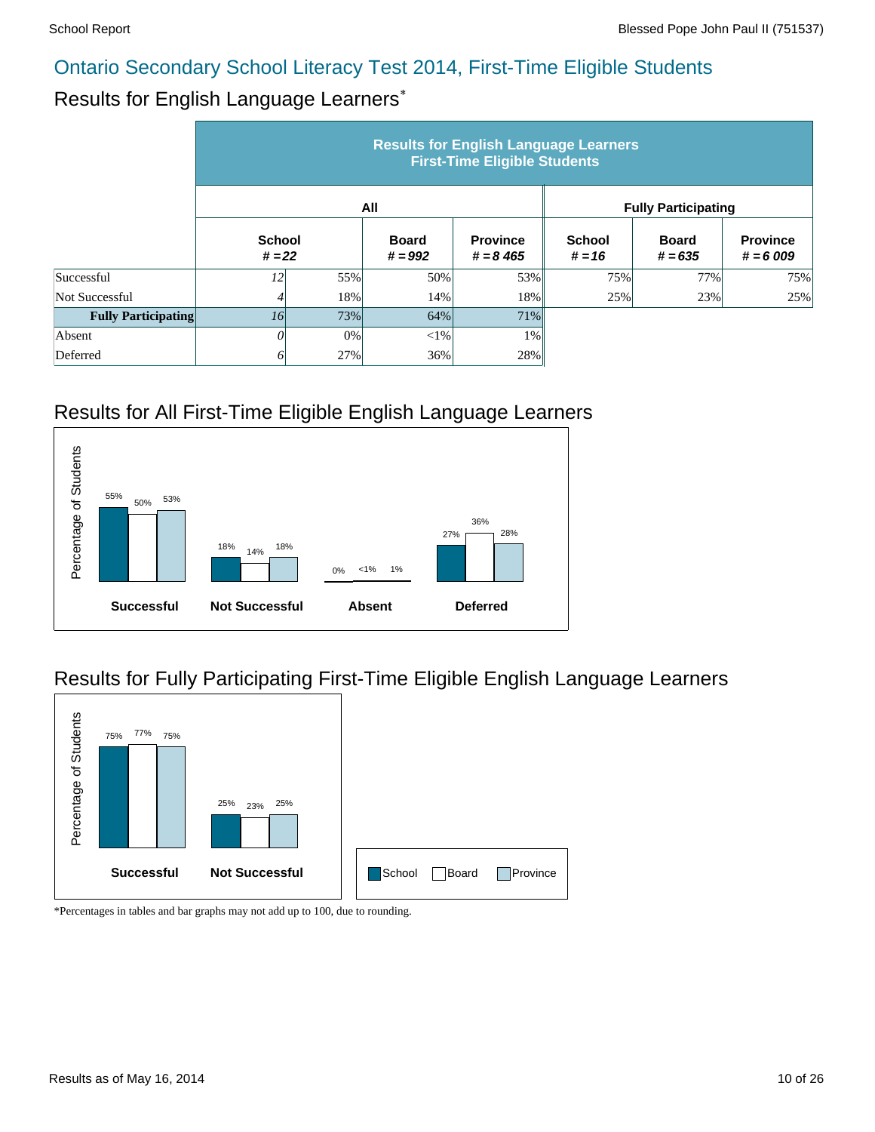# Results for English Language Learners\*

|                            | <b>Results for English Language Learners</b><br><b>First-Time Eligible Students</b> |     |                           |                                |                            |                           |                               |  |  |  |
|----------------------------|-------------------------------------------------------------------------------------|-----|---------------------------|--------------------------------|----------------------------|---------------------------|-------------------------------|--|--|--|
|                            |                                                                                     |     | All                       |                                | <b>Fully Participating</b> |                           |                               |  |  |  |
|                            | <b>School</b><br>$# = 22$                                                           |     | <b>Board</b><br>$# = 992$ | <b>Province</b><br>$# = 8,465$ | <b>School</b><br>$# = 16$  | <b>Board</b><br>$# = 635$ | <b>Province</b><br>$# = 6009$ |  |  |  |
| Successful                 | 12                                                                                  | 55% | 50%                       | 53%                            | 75%                        | 77%                       | 75%                           |  |  |  |
| Not Successful             | 4                                                                                   | 18% | 14%                       | 18%                            | 25%                        | 23%                       | 25%                           |  |  |  |
| <b>Fully Participating</b> | <i>16</i>                                                                           | 73% | 64%                       | 71%                            |                            |                           |                               |  |  |  |
| Absent                     | 0                                                                                   | 0%  | ${<}1\%$                  | 1%                             |                            |                           |                               |  |  |  |
| Deferred                   | 0                                                                                   | 27% | 36%                       | 28%                            |                            |                           |                               |  |  |  |

# Results for All First-Time Eligible English Language Learners



# Results for Fully Participating First-Time Eligible English Language Learners

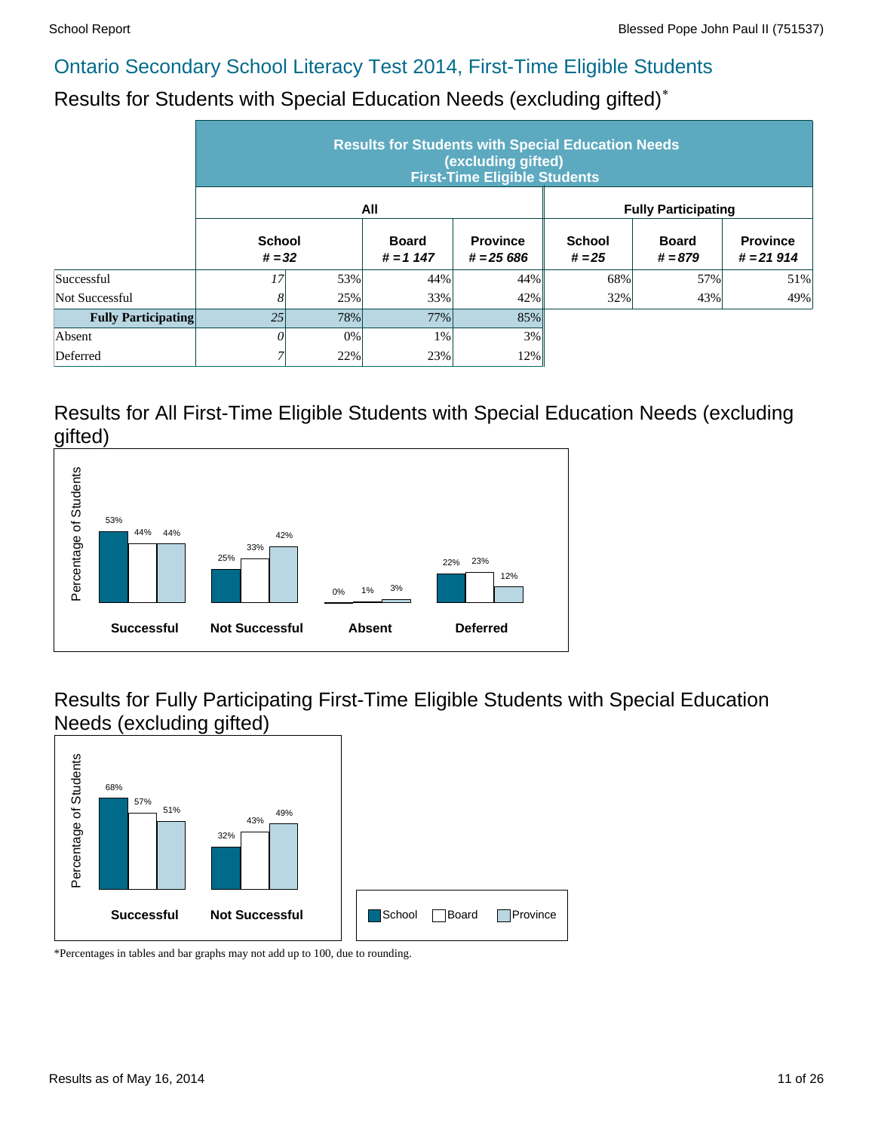Results for Students with Special Education Needs (excluding gifted)\*

|                            | <b>Results for Students with Special Education Needs</b><br>(excluding gifted)<br><b>First-Time Eligible Students</b> |                   |                             |                               |                            |                           |                                |  |  |  |
|----------------------------|-----------------------------------------------------------------------------------------------------------------------|-------------------|-----------------------------|-------------------------------|----------------------------|---------------------------|--------------------------------|--|--|--|
|                            |                                                                                                                       |                   | All                         |                               | <b>Fully Participating</b> |                           |                                |  |  |  |
|                            | <b>School</b><br>$# = 32$                                                                                             |                   | <b>Board</b><br>$# = 1 147$ | <b>Province</b><br>$# = 2566$ | <b>School</b><br>$# = 25$  | <b>Board</b><br>$# = 879$ | <b>Province</b><br>$# = 21914$ |  |  |  |
| Successful                 | 17                                                                                                                    | 53%               | 44%                         | 44%                           | 68%                        | 57%                       | 51%                            |  |  |  |
| Not Successful             | 8                                                                                                                     | 25%               | 33%                         | 42%                           | 32%                        | 43%                       | 49%                            |  |  |  |
| <b>Fully Participating</b> | 25                                                                                                                    | 78%               | 77%                         | 85%                           |                            |                           |                                |  |  |  |
| Absent                     | 0                                                                                                                     | 0%                | 1%                          | 3%                            |                            |                           |                                |  |  |  |
| Deferred                   |                                                                                                                       | 22%<br>23%<br>12% |                             |                               |                            |                           |                                |  |  |  |

#### Results for All First-Time Eligible Students with Special Education Needs (excluding gifted)



Results for Fully Participating First-Time Eligible Students with Special Education Needs (excluding gifted)

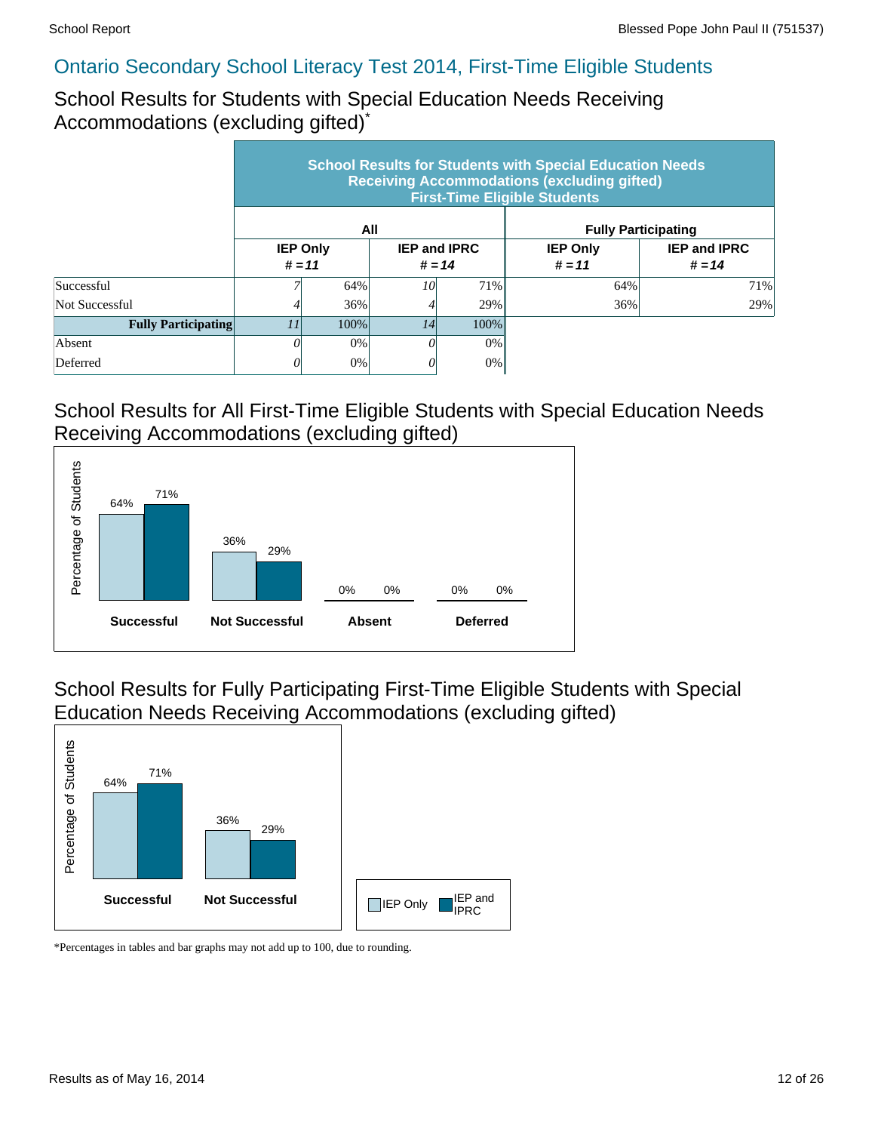School Results for Students with Special Education Needs Receiving Accommodations (excluding gifted)\*

|                            | <b>School Results for Students with Special Education Needs</b><br><b>Receiving Accommodations (excluding gifted)</b><br><b>First-Time Eligible Students</b> |                             |                                 |      |                             |                                 |  |  |  |  |
|----------------------------|--------------------------------------------------------------------------------------------------------------------------------------------------------------|-----------------------------|---------------------------------|------|-----------------------------|---------------------------------|--|--|--|--|
|                            |                                                                                                                                                              |                             | All                             |      |                             | <b>Fully Participating</b>      |  |  |  |  |
|                            |                                                                                                                                                              | <b>IEP Only</b><br>$# = 11$ | <b>IEP and IPRC</b><br>$# = 14$ |      | <b>IEP Only</b><br>$# = 11$ | <b>IEP and IPRC</b><br>$# = 14$ |  |  |  |  |
| Successful                 |                                                                                                                                                              | 64%                         | 10                              | 71%  | 64%                         | 71%                             |  |  |  |  |
| Not Successful             |                                                                                                                                                              | 36%                         |                                 | 29%  | 36%                         | 29%                             |  |  |  |  |
| <b>Fully Participating</b> | 11<br>100%                                                                                                                                                   |                             | 14                              | 100% |                             |                                 |  |  |  |  |
| Absent                     | OІ                                                                                                                                                           | $0\%$                       |                                 | 0%   |                             |                                 |  |  |  |  |
| Deferred                   | 0%<br>0%<br>()                                                                                                                                               |                             |                                 |      |                             |                                 |  |  |  |  |

#### School Results for All First-Time Eligible Students with Special Education Needs Receiving Accommodations (excluding gifted)



School Results for Fully Participating First-Time Eligible Students with Special Education Needs Receiving Accommodations (excluding gifted)

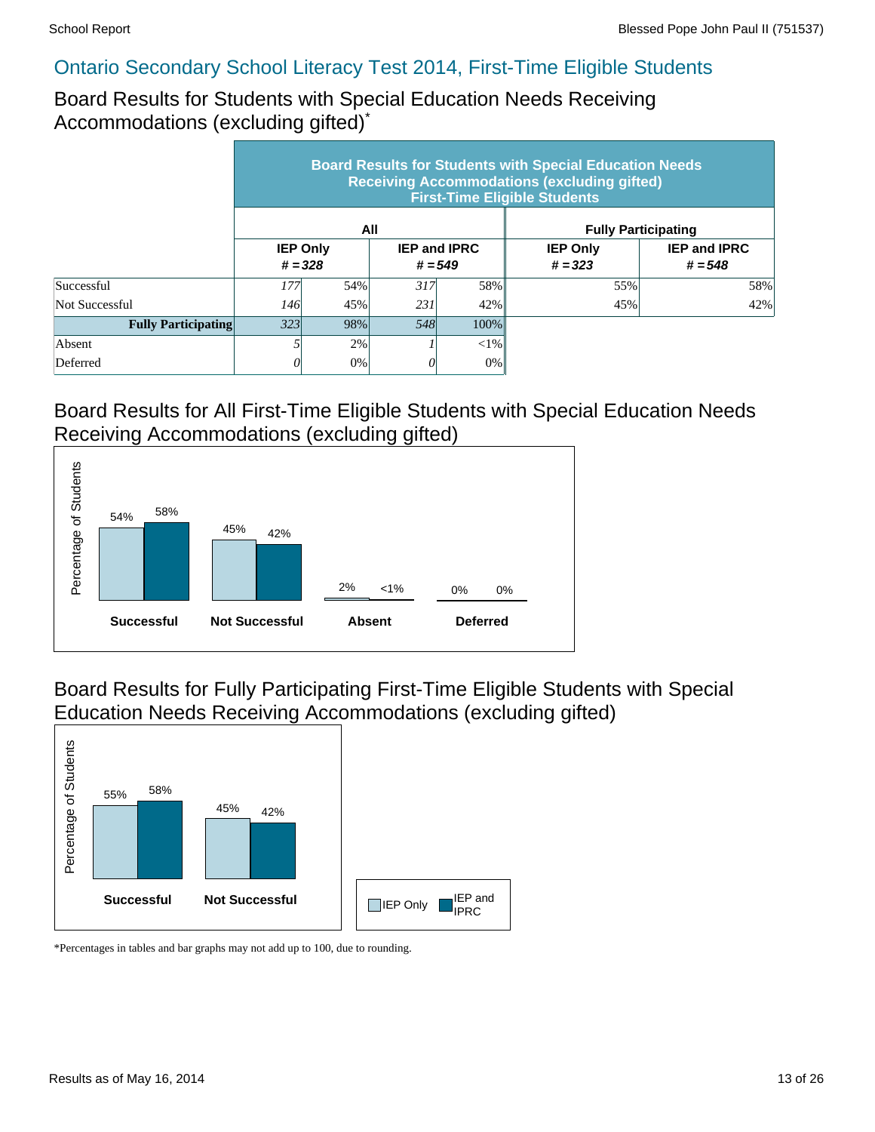Board Results for Students with Special Education Needs Receiving Accommodations (excluding gifted)\*

|                            | <b>Board Results for Students with Special Education Needs</b><br><b>Receiving Accommodations (excluding gifted)</b><br><b>First-Time Eligible Students</b> |                              |                                  |         |                              |                                  |  |  |  |  |
|----------------------------|-------------------------------------------------------------------------------------------------------------------------------------------------------------|------------------------------|----------------------------------|---------|------------------------------|----------------------------------|--|--|--|--|
|                            |                                                                                                                                                             |                              | All                              |         | <b>Fully Participating</b>   |                                  |  |  |  |  |
|                            |                                                                                                                                                             | <b>IEP Only</b><br>$# = 328$ | <b>IEP and IPRC</b><br>$# = 549$ |         | <b>IEP Only</b><br>$# = 323$ | <b>IEP and IPRC</b><br>$# = 548$ |  |  |  |  |
| Successful                 | 177                                                                                                                                                         | 54%                          | 317                              | 58%     | 55%                          | 58%                              |  |  |  |  |
| Not Successful             | <i>146</i>                                                                                                                                                  | 45%                          | 231                              | 42%     | 45%                          | 42%                              |  |  |  |  |
| <b>Fully Participating</b> | 323<br>98%                                                                                                                                                  |                              | 548                              | $100\%$ |                              |                                  |  |  |  |  |
| Absent                     |                                                                                                                                                             | 2%                           |                                  | $< 1\%$ |                              |                                  |  |  |  |  |
| Deferred                   |                                                                                                                                                             | 0%                           |                                  | 0%      |                              |                                  |  |  |  |  |

#### Board Results for All First-Time Eligible Students with Special Education Needs Receiving Accommodations (excluding gifted)



Board Results for Fully Participating First-Time Eligible Students with Special Education Needs Receiving Accommodations (excluding gifted)

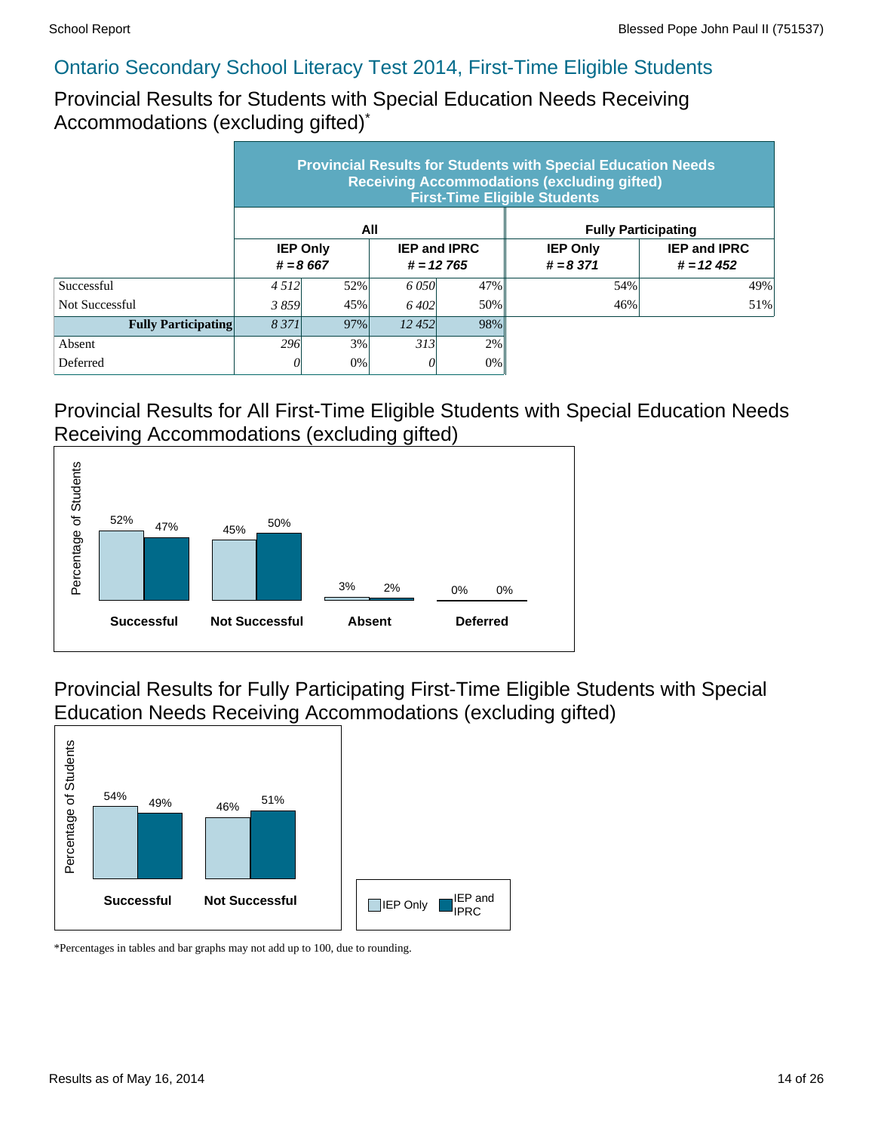Provincial Results for Students with Special Education Needs Receiving Accommodations (excluding gifted)\*

|                            | <b>Provincial Results for Students with Special Education Needs</b><br><b>Receiving Accommodations (excluding gifted)</b><br><b>First-Time Eligible Students</b> |                               |                                    |       |                                |                                    |  |  |  |  |
|----------------------------|------------------------------------------------------------------------------------------------------------------------------------------------------------------|-------------------------------|------------------------------------|-------|--------------------------------|------------------------------------|--|--|--|--|
|                            |                                                                                                                                                                  |                               | All                                |       | <b>Fully Participating</b>     |                                    |  |  |  |  |
|                            |                                                                                                                                                                  | <b>IEP Only</b><br>$# = 8667$ | <b>IEP and IPRC</b><br>$# = 12765$ |       | <b>IEP Only</b><br>$# = 8,371$ | <b>IEP and IPRC</b><br>$# = 12452$ |  |  |  |  |
| Successful                 | 4 5 1 2                                                                                                                                                          | 52%                           | 6.050                              | 47%   | 54%                            | 49%                                |  |  |  |  |
| Not Successful             | 3859                                                                                                                                                             | 45%                           | 6.402                              | 50%   | 46%                            | 51%                                |  |  |  |  |
| <b>Fully Participating</b> | 8 3 7 1<br>97%                                                                                                                                                   |                               | 12,452                             | 98%   |                                |                                    |  |  |  |  |
| Absent                     | 296                                                                                                                                                              | 3%                            | 313                                | 2%    |                                |                                    |  |  |  |  |
| Deferred                   |                                                                                                                                                                  | 0%                            |                                    | $0\%$ |                                |                                    |  |  |  |  |

#### Provincial Results for All First-Time Eligible Students with Special Education Needs Receiving Accommodations (excluding gifted)



Provincial Results for Fully Participating First-Time Eligible Students with Special Education Needs Receiving Accommodations (excluding gifted)

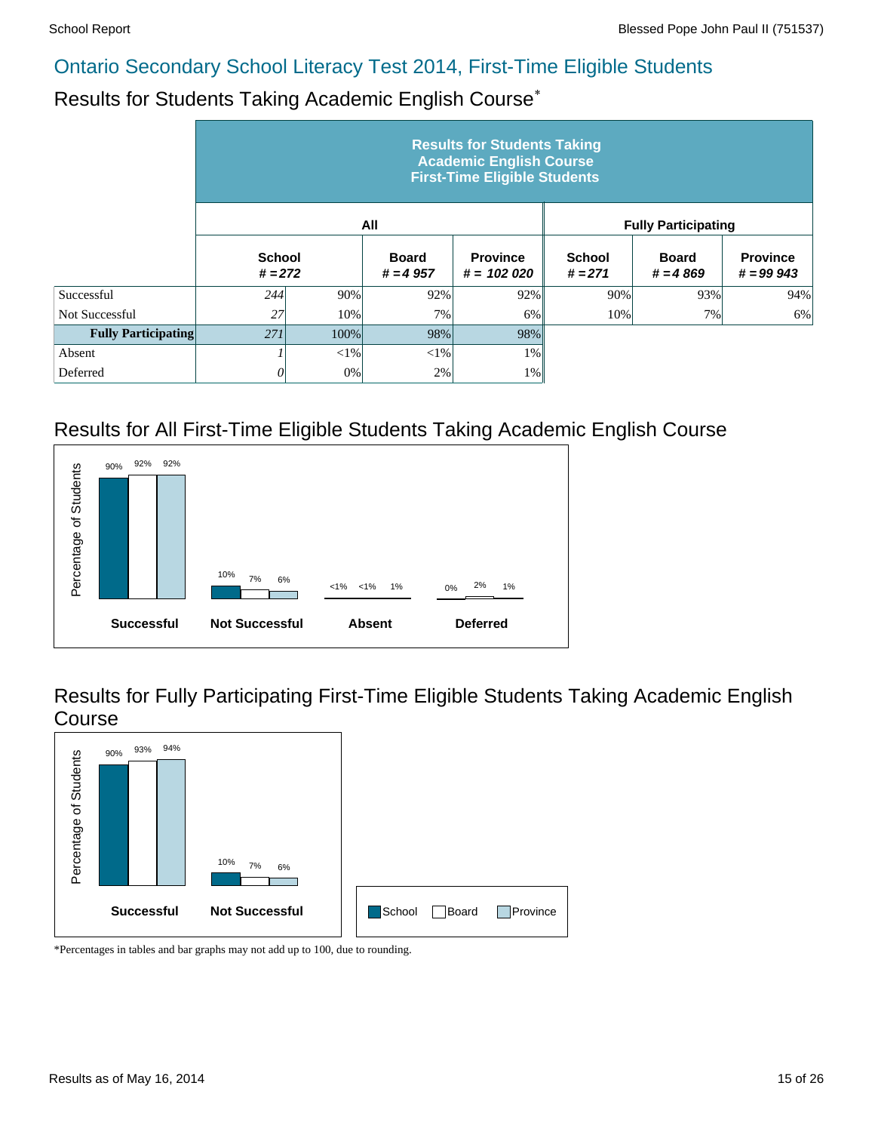# Results for Students Taking Academic English Course\*

|                            | <b>Results for Students Taking</b><br><b>Academic English Course</b><br><b>First-Time Eligible Students</b> |          |                            |                                 |                            |                            |                                |  |  |  |  |
|----------------------------|-------------------------------------------------------------------------------------------------------------|----------|----------------------------|---------------------------------|----------------------------|----------------------------|--------------------------------|--|--|--|--|
|                            |                                                                                                             |          | All                        |                                 |                            | <b>Fully Participating</b> |                                |  |  |  |  |
|                            | <b>School</b><br>$# = 272$                                                                                  |          | <b>Board</b><br>$# = 4957$ | <b>Province</b><br>$# = 102020$ | <b>School</b><br>$# = 271$ | <b>Board</b><br>$# = 4869$ | <b>Province</b><br>$# = 99943$ |  |  |  |  |
| Successful                 | 244                                                                                                         | 90%      | 92%                        | 92%                             | 90%                        | 93%                        | 94%                            |  |  |  |  |
| Not Successful             | 27                                                                                                          | 10%      | 7%                         | $6\%$                           | 10%                        | 7%                         | 6%                             |  |  |  |  |
| <b>Fully Participating</b> | 271                                                                                                         | 100%     | 98%                        | 98%                             |                            |                            |                                |  |  |  |  |
| Absent                     |                                                                                                             | ${<}1\%$ | $<$ 1%                     | 1%                              |                            |                            |                                |  |  |  |  |
| Deferred                   | 0                                                                                                           | 0%       | 2%                         | 1%                              |                            |                            |                                |  |  |  |  |

#### Results for All First-Time Eligible Students Taking Academic English Course



Results for Fully Participating First-Time Eligible Students Taking Academic English Course

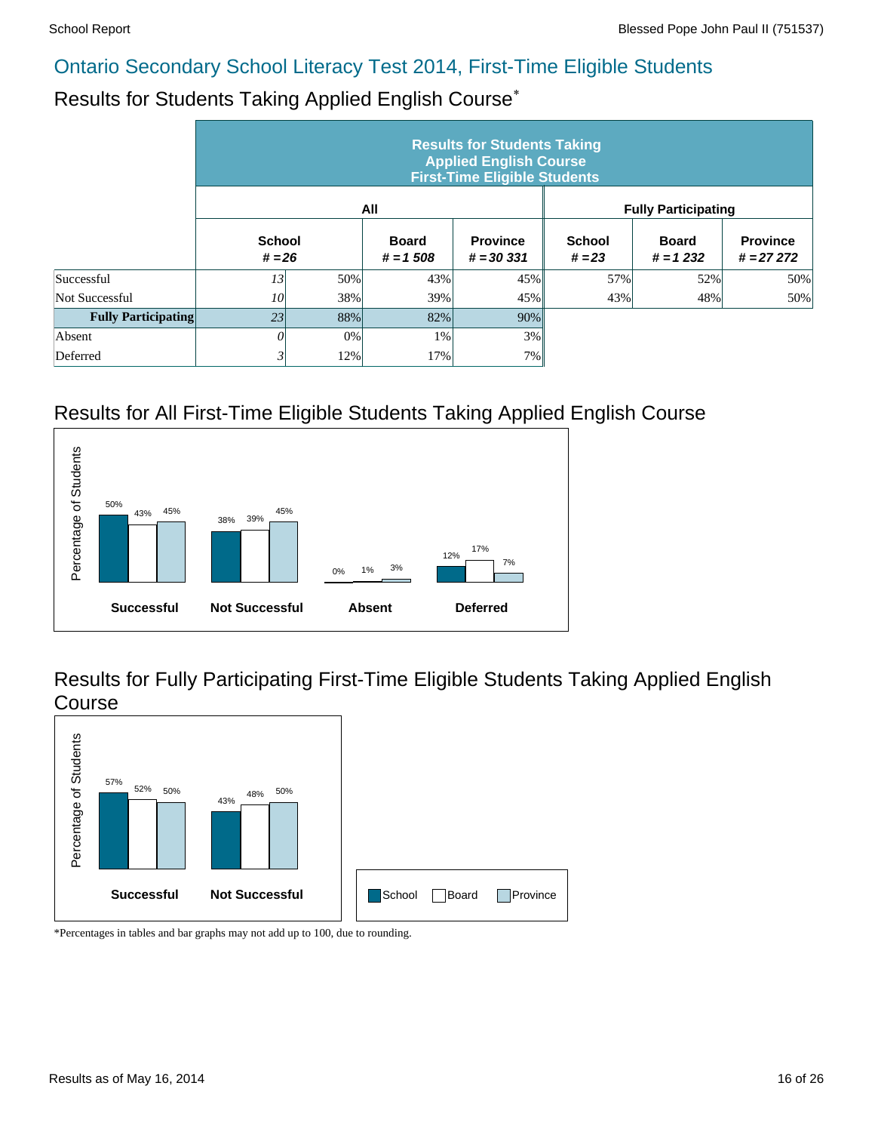# Results for Students Taking Applied English Course\*

|                            | <b>Results for Students Taking</b><br><b>Applied English Course</b><br><b>First-Time Eligible Students</b> |     |                            |                                 |                           |                            |                                |  |  |  |  |  |
|----------------------------|------------------------------------------------------------------------------------------------------------|-----|----------------------------|---------------------------------|---------------------------|----------------------------|--------------------------------|--|--|--|--|--|
|                            |                                                                                                            |     | All                        |                                 |                           | <b>Fully Participating</b> |                                |  |  |  |  |  |
|                            | <b>School</b><br>$# = 26$                                                                                  |     | <b>Board</b><br>$# = 1508$ | <b>Province</b><br>$# = 30,331$ | <b>School</b><br>$# = 23$ | <b>Board</b><br>$# = 1232$ | <b>Province</b><br>$# = 27272$ |  |  |  |  |  |
| Successful                 | 13                                                                                                         | 50% | 43%                        | 45%                             | 57%                       | 52%                        | 50%                            |  |  |  |  |  |
| Not Successful             | 10 <sup>°</sup>                                                                                            | 38% | 39%                        | 45%                             | 43%                       | 48%                        | 50%                            |  |  |  |  |  |
| <b>Fully Participating</b> | 23                                                                                                         | 88% | 82%                        | 90%                             |                           |                            |                                |  |  |  |  |  |
| Absent                     | 0                                                                                                          | 0%  | 1%                         | 3%                              |                           |                            |                                |  |  |  |  |  |
| Deferred                   | 3                                                                                                          | 12% | 17%                        | 7%                              |                           |                            |                                |  |  |  |  |  |

#### Results for All First-Time Eligible Students Taking Applied English Course



Results for Fully Participating First-Time Eligible Students Taking Applied English Course

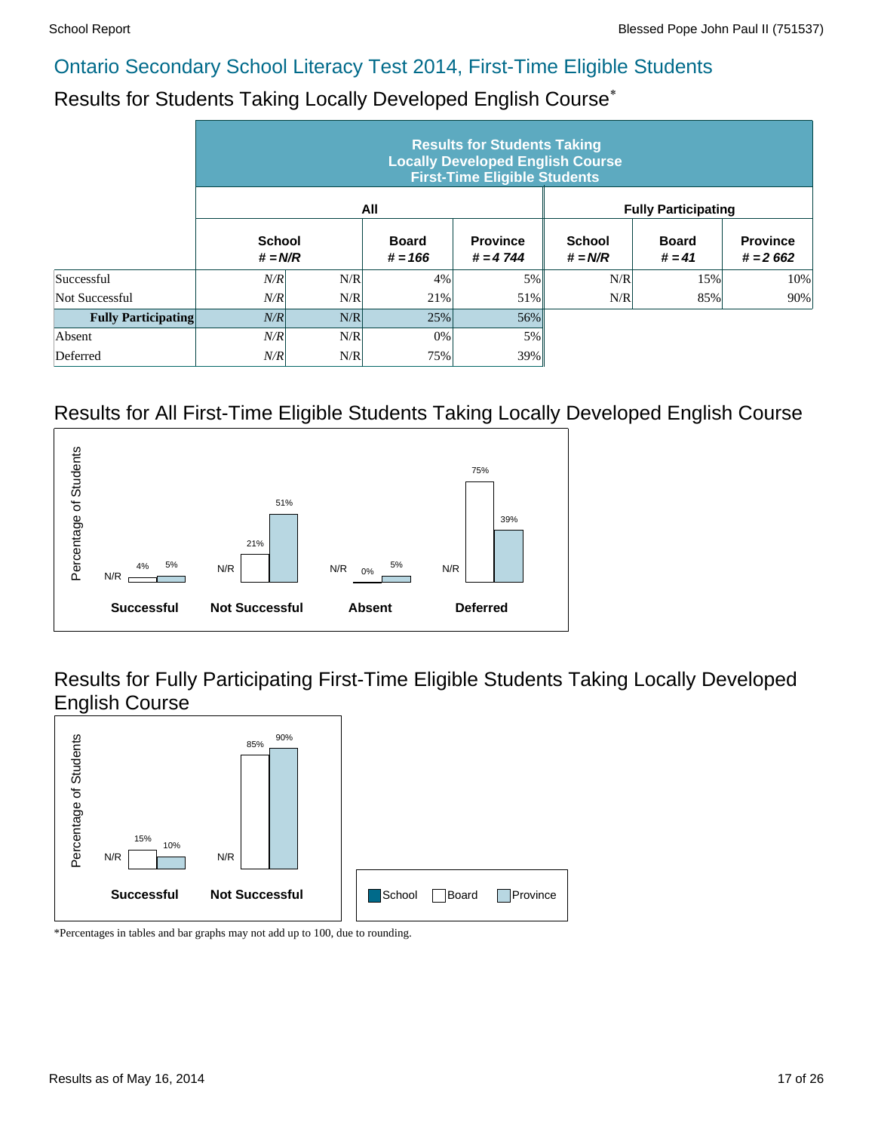#### Results for Students Taking Locally Developed English Course\*

|                            |                            |     |                           | <b>Results for Students Taking</b><br><b>Locally Developed English Course</b><br><b>First-Time Eligible Students</b> |                            |                            |                               |
|----------------------------|----------------------------|-----|---------------------------|----------------------------------------------------------------------------------------------------------------------|----------------------------|----------------------------|-------------------------------|
|                            |                            |     | All                       |                                                                                                                      |                            | <b>Fully Participating</b> |                               |
|                            | <b>School</b><br>$# = N/R$ |     | <b>Board</b><br>$# = 166$ | <b>Province</b><br>$# = 4744$                                                                                        | <b>School</b><br>$# = N/R$ | <b>Board</b><br>$# = 41$   | <b>Province</b><br>$# = 2662$ |
| Successful                 | N/R                        | N/R | 4%                        | 5%                                                                                                                   | N/R                        | 15%                        | 10%                           |
| Not Successful             | N/R                        | N/R | 21%                       | 51%                                                                                                                  | N/R                        | 85%                        | 90%                           |
| <b>Fully Participating</b> | N/R                        | N/R | 25%                       | 56%                                                                                                                  |                            |                            |                               |
| Absent                     | N/R                        | N/R | 0%                        | 5%                                                                                                                   |                            |                            |                               |
| Deferred                   | N/R                        | N/R | 75%                       | 39%                                                                                                                  |                            |                            |                               |

#### Results for All First-Time Eligible Students Taking Locally Developed English Course



Results for Fully Participating First-Time Eligible Students Taking Locally Developed English Course

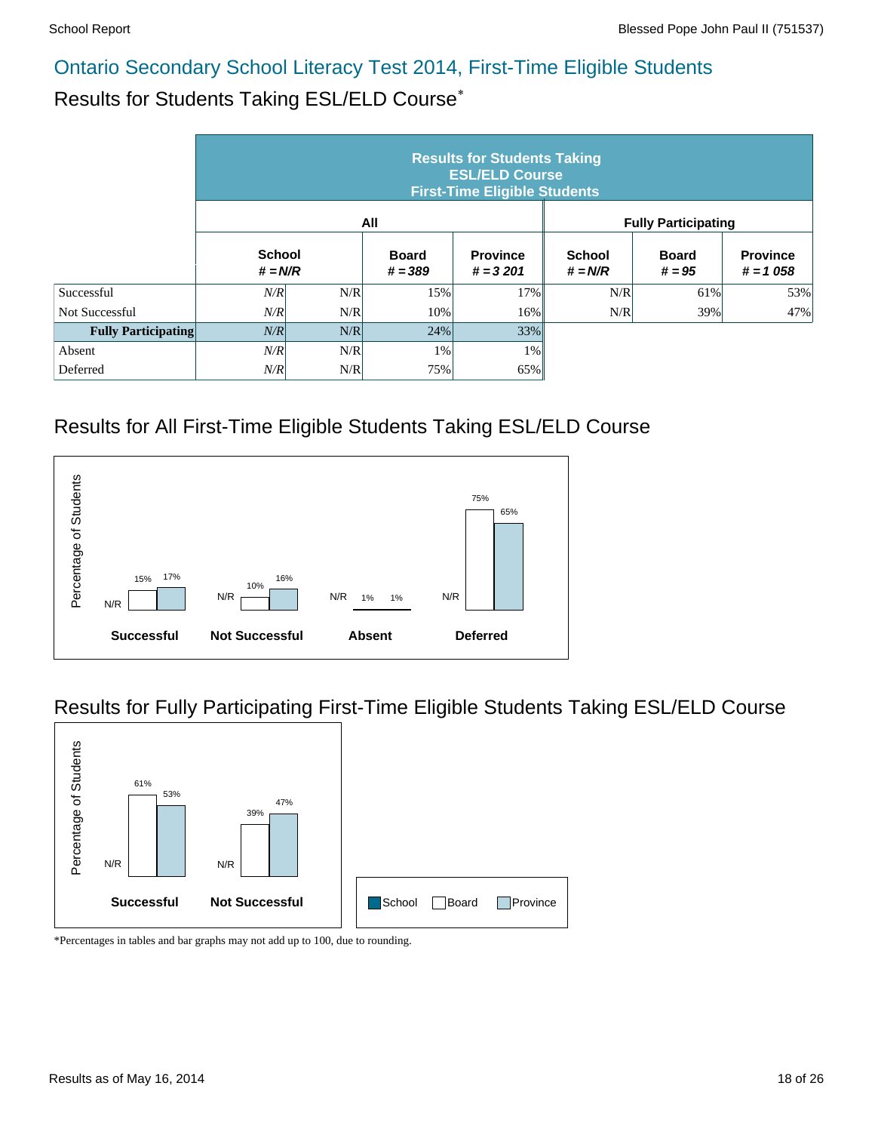# Results for Students Taking ESL/ELD Course\*

|                            | <b>Results for Students Taking</b><br><b>ESL/ELD Course</b><br><b>First-Time Eligible Students</b> |     |                           |                               |                            |                            |                               |  |  |  |  |  |
|----------------------------|----------------------------------------------------------------------------------------------------|-----|---------------------------|-------------------------------|----------------------------|----------------------------|-------------------------------|--|--|--|--|--|
|                            |                                                                                                    |     | All                       |                               |                            | <b>Fully Participating</b> |                               |  |  |  |  |  |
|                            | <b>School</b><br>$# = N/R$                                                                         |     | <b>Board</b><br>$# = 389$ | <b>Province</b><br>$# = 3201$ | <b>School</b><br>$# = N/R$ | <b>Board</b><br>$# = 95$   | <b>Province</b><br>$# = 1058$ |  |  |  |  |  |
| Successful                 | N/R                                                                                                | N/R | 15%                       | 17%                           | N/R                        | 61%                        | 53%                           |  |  |  |  |  |
| Not Successful             | N/R                                                                                                | N/R | 10%                       | 16%                           | N/R                        | 39%                        | 47%                           |  |  |  |  |  |
| <b>Fully Participating</b> | N/R                                                                                                | N/R | 24%                       | 33%                           |                            |                            |                               |  |  |  |  |  |
| Absent                     | N/R                                                                                                | N/R | 1%                        | $1\%$                         |                            |                            |                               |  |  |  |  |  |
| Deferred                   | N/R                                                                                                | N/R | 75%                       | 65%                           |                            |                            |                               |  |  |  |  |  |

#### Results for All First-Time Eligible Students Taking ESL/ELD Course



#### Results for Fully Participating First-Time Eligible Students Taking ESL/ELD Course

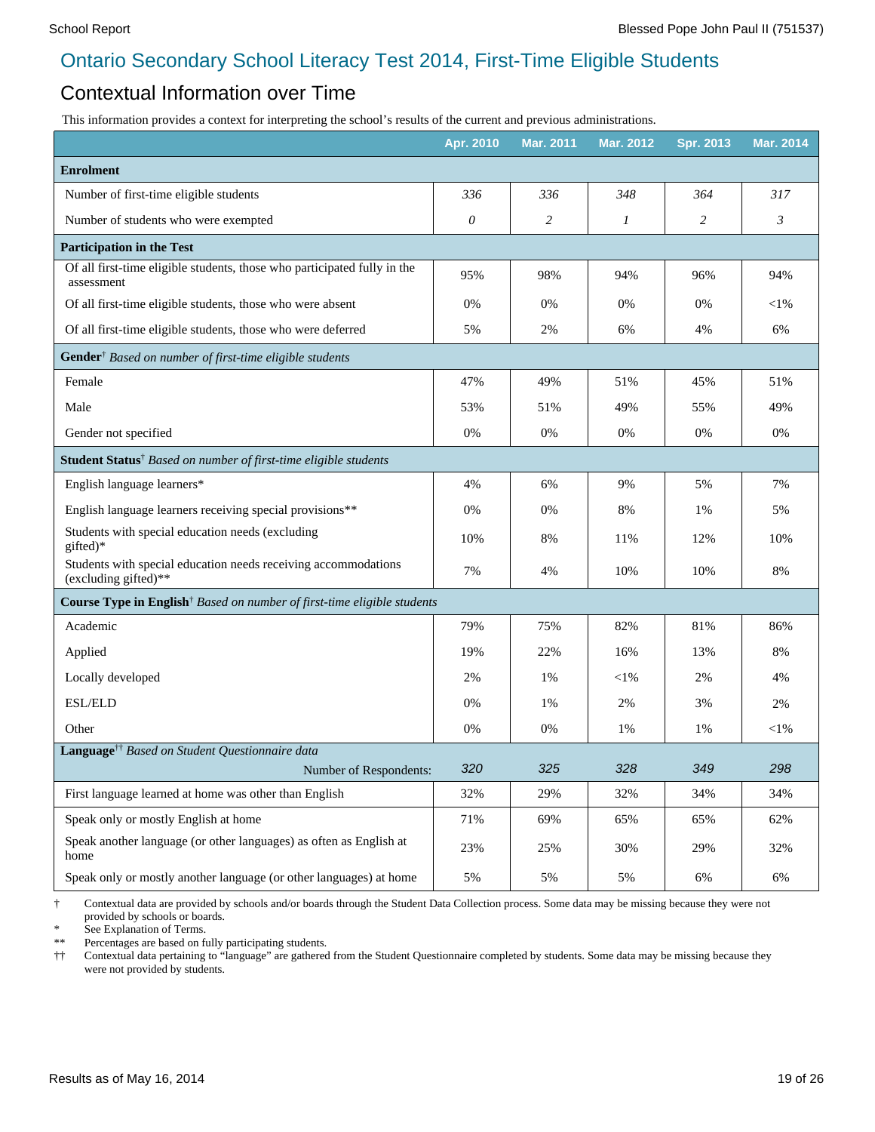#### Contextual Information over Time

This information provides a context for interpreting the school's results of the current and previous administrations.

|                                                                                        | Apr. 2010 | <b>Mar. 2011</b> | Mar. 2012 | <b>Spr. 2013</b> | <b>Mar. 2014</b> |
|----------------------------------------------------------------------------------------|-----------|------------------|-----------|------------------|------------------|
| <b>Enrolment</b>                                                                       |           |                  |           |                  |                  |
| Number of first-time eligible students                                                 | 336       | 336              | 348       | 364              | 317              |
| Number of students who were exempted                                                   | 0         | 2                | 1         | $\overline{c}$   | $\mathfrak{Z}$   |
| <b>Participation in the Test</b>                                                       |           |                  |           |                  |                  |
| Of all first-time eligible students, those who participated fully in the<br>assessment | 95%       | 98%              | 94%       | 96%              | 94%              |
| Of all first-time eligible students, those who were absent                             | 0%        | 0%               | 0%        | 0%               | $<$ 1%           |
| Of all first-time eligible students, those who were deferred                           | 5%        | 2%               | 6%        | 4%               | 6%               |
| Gender <sup>†</sup> Based on number of first-time eligible students                    |           |                  |           |                  |                  |
| Female                                                                                 | 47%       | 49%              | 51%       | 45%              | 51%              |
| Male                                                                                   | 53%       | 51%              | 49%       | 55%              | 49%              |
| Gender not specified                                                                   | 0%        | 0%               | 0%        | 0%               | 0%               |
| Student Status <sup>†</sup> Based on number of first-time eligible students            |           |                  |           |                  |                  |
| English language learners*                                                             | 4%        | 6%               | 9%        | 5%               | 7%               |
| English language learners receiving special provisions**                               | 0%        | 0%               | 8%        | 1%               | 5%               |
| Students with special education needs (excluding<br>gifted)*                           | 10%       | 8%               | 11%       | 12%              | 10%              |
| Students with special education needs receiving accommodations<br>(excluding gifted)** | 7%        | 4%               | 10%       | 10%              | 8%               |
| Course Type in English <sup>†</sup> Based on number of first-time eligible students    |           |                  |           |                  |                  |
| Academic                                                                               | 79%       | 75%              | 82%       | 81%              | 86%              |
| Applied                                                                                | 19%       | 22%              | 16%       | 13%              | 8%               |
| Locally developed                                                                      | 2%        | 1%               | $<$ l $%$ | 2%               | 4%               |
| <b>ESL/ELD</b>                                                                         | $0\%$     | 1%               | 2%        | 3%               | 2%               |
| Other                                                                                  | 0%        | 0%               | 1%        | 1%               | $<$ 1%           |
| Language <sup>††</sup> Based on Student Questionnaire data                             |           |                  |           |                  |                  |
| Number of Respondents:                                                                 | 320       | 325              | 328       | 349              | 298              |
| First language learned at home was other than English                                  | 32%       | 29%              | 32%       | 34%              | 34%              |
| Speak only or mostly English at home                                                   | 71%       | 69%              | 65%       | 65%              | 62%              |
| Speak another language (or other languages) as often as English at<br>home             | 23%       | 25%              | 30%       | 29%              | 32%              |
| Speak only or mostly another language (or other languages) at home                     | 5%        | 5%               | 5%        | 6%               | 6%               |

† Contextual data are provided by schools and/or boards through the Student Data Collection process. Some data may be missing because they were not provided by schools or boards.

\* See Explanation of Terms.

Percentages are based on fully participating students.

†† Contextual data pertaining to "language" are gathered from the Student Questionnaire completed by students. Some data may be missing because they were not provided by students.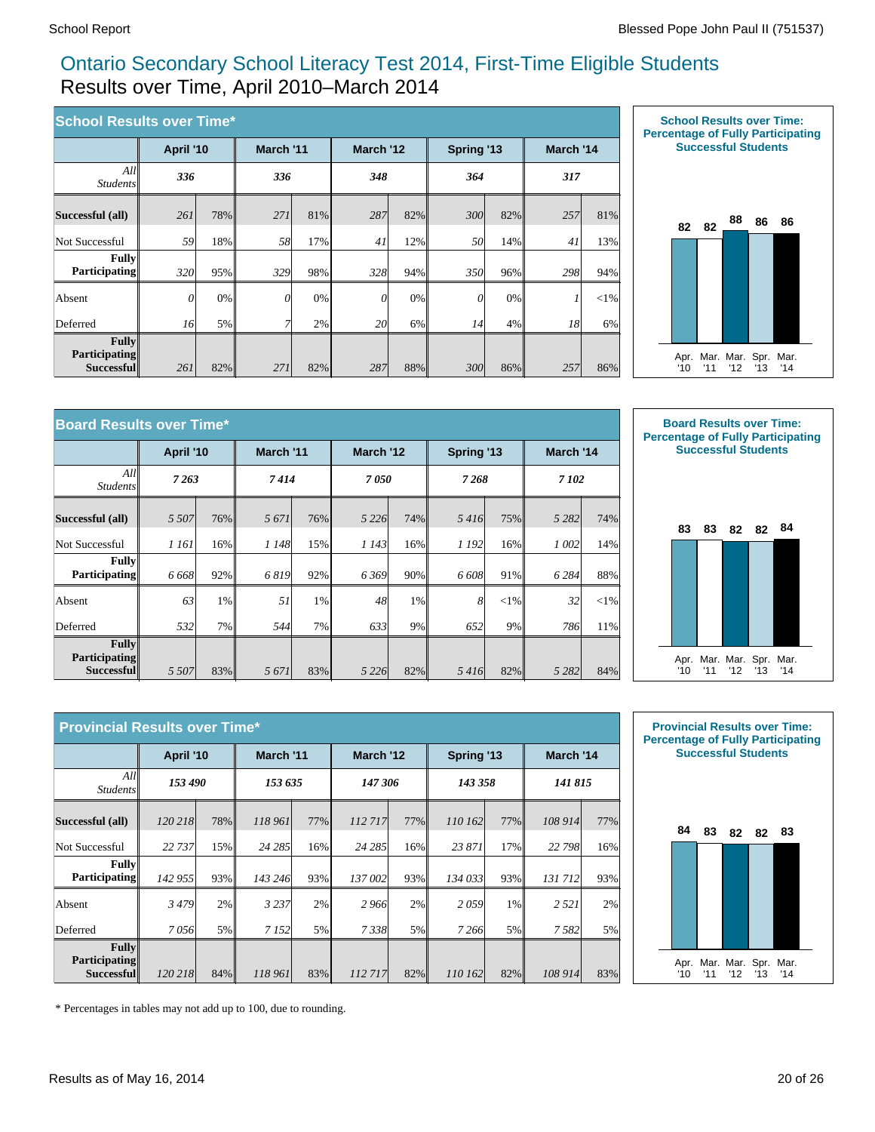#### Ontario Secondary School Literacy Test 2014, First-Time Eligible Students Results over Time, April 2010–March 2014

| <b>School Results over Time*</b>            |           |       |           |     |           |     |            |     |           |        |
|---------------------------------------------|-----------|-------|-----------|-----|-----------|-----|------------|-----|-----------|--------|
|                                             | April '10 |       | March '11 |     | March '12 |     | Spring '13 |     | March '14 |        |
| All<br><i>Students</i>                      | 336       |       | 336       |     | 348       |     | 364        |     | 317       |        |
| Successful (all)                            | 261       | 78%   | 271       | 81% | 287       | 82% | 300        | 82% | 257       | 81%    |
| Not Successful                              | 59        | 18%   | 58        | 17% | 41        | 12% | 50         | 14% | 41        | 13%    |
| <b>Fully</b><br><b>Participating</b>        | 320l      | 95%   | 329       | 98% | 328       | 94% | 350        | 96% | 298       | 94%    |
| Absent                                      | $\theta$  | $0\%$ | $\Omega$  | 0%  | $\theta$  | 0%  | 0          | 0%  |           | $<$ 1% |
| Deferred                                    | 16        | 5%    |           | 2%  | 20        | 6%  | 14         | 4%  | 18        | 6%     |
| Fullv<br><b>Participating</b><br>Successful | 261       | 82%   | 271       | 82% | 287       | 88% | 300        | 86% | 257       | 86%    |



| <b>Board Results over Time*</b>             |           |     |           |        |           |       |            |        |           |          |
|---------------------------------------------|-----------|-----|-----------|--------|-----------|-------|------------|--------|-----------|----------|
|                                             | April '10 |     | March '11 |        | March '12 |       | Spring '13 |        | March '14 |          |
| All<br><i>Students</i>                      | 7 2 6 3   |     | 7414      |        | 7050      |       | 7268       |        | 7 102     |          |
| Successful (all)                            | 5 5 0 7   | 76% | 5 671     | $76\%$ | 5 2 2 6   | 74%   | 5416       | 75%    | 5 2 8 2   | 74%      |
| Not Successful                              | 1 161     | 16% | 1 148     | 15%    | 1 1 4 3   | 16%   | 1 192      | 16%    | 1 002     | 14%      |
| <b>Fully</b><br><b>Participating</b>        | 6 6 6 8   | 92% | 6819      | 92%    | 6369      | 90%   | 6 608      | 91%    | 6 2 8 4   | 88%      |
| Absent                                      | 63        | 1%  | 51        | $1\%$  | 48        | $1\%$ | 8          | $<$ 1% | 32        | ${<}1\%$ |
| Deferred                                    | 532l      | 7%  | 544       | 7%     | 633       | 9%    | 652        | 9%     | 786       | 11%      |
| Fullv<br><b>Participating</b><br>Successful | 5 5 0 7   | 83% | 5 671     | 83%    | 5 2 2 6   | 82%   | 5416       | 82%    | 5 2 8 2   | 84%      |



|                                             | <b>Provincial Results over Time*</b> |     |           |        |         |           |         |            |           |     |
|---------------------------------------------|--------------------------------------|-----|-----------|--------|---------|-----------|---------|------------|-----------|-----|
|                                             | April '10                            |     | March '11 |        |         | March '12 |         | Spring '13 | March '14 |     |
| All<br><i>Students</i>                      | 153 490                              |     | 153 635   |        | 147 306 |           | 143 358 |            | 141 815   |     |
| Successful (all)                            | 120 218                              | 78% | 118 961   | $77\%$ | 112717  | $77\%$    | 110 162 | 77%        | 108 914   | 77% |
| Not Successful                              | 22 737                               | 15% | 24 28 5   | 16%    | 24 28 5 | 16%       | 23871   | 17%        | 22 798    | 16% |
| Fullv<br><b>Participating</b>               | 142 955                              | 93% | 143 246   | 93%    | 137 002 | 93%       | 134 033 | 93%        | 131712    | 93% |
| Absent                                      | 3479                                 | 2%  | 3 2 3 7   | 2%     | 2966    | 2%        | 2059    | 1%         | 2 5 2 1   | 2%  |
| Deferred                                    | 7056                                 | 5%  | 7 1 5 2   | 5%     | 7338    | 5%        | 7 2 6 6 | 5%         | 7582      | 5%  |
| Fully<br><b>Participating</b><br>Successful | 120 218                              | 84% | 118 961   | 83%    | 112717  | 82%       | 110 162 | 82%        | 108 914   | 83% |



\* Percentages in tables may not add up to 100, due to rounding.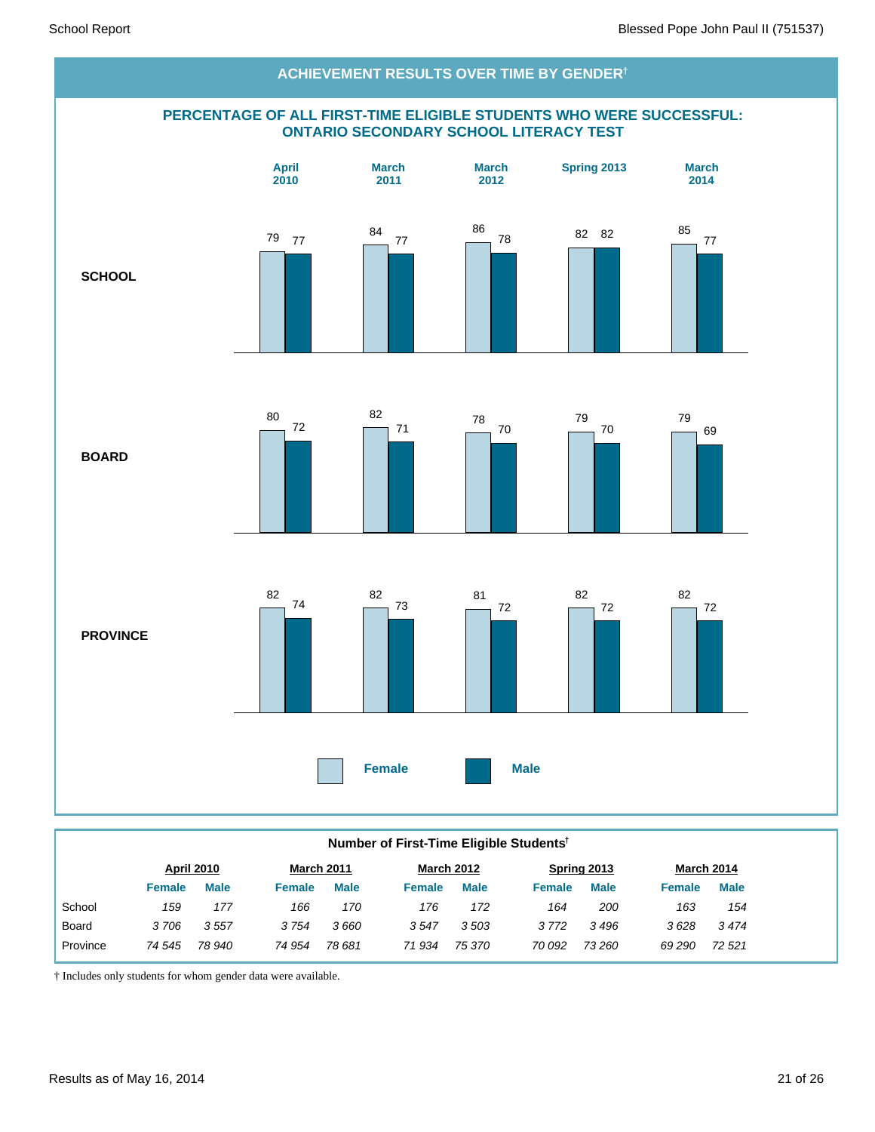

#### **Number of First-Time Eligible Students†**

|          |        | <b>April 2010</b> |               | <b>March 2011</b> |        | <b>March 2012</b> |               | Spring 2013 |               | March 2014  |
|----------|--------|-------------------|---------------|-------------------|--------|-------------------|---------------|-------------|---------------|-------------|
|          | Female | <b>Male</b>       | <b>Female</b> | <b>Male</b>       | Female | <b>Male</b>       | <b>Female</b> | <b>Male</b> | <b>Female</b> | <b>Male</b> |
| School   | 159    | 177               | 166           | 170               | 176    | 172               | 164           | 200         | 163           | 154         |
| Board    | 3706   | 3557              | 3754          | 3 660             | 3547   | 3503              | 3 7 7 2       | 3496        | 3628          | 3474        |
| Province | 74 545 | 78 940            | 74 954        | 78 681            | 71934  | 75 370            | 70 092        | 73 260      | 69 290        | 72 521      |
|          |        |                   |               |                   |        |                   |               |             |               |             |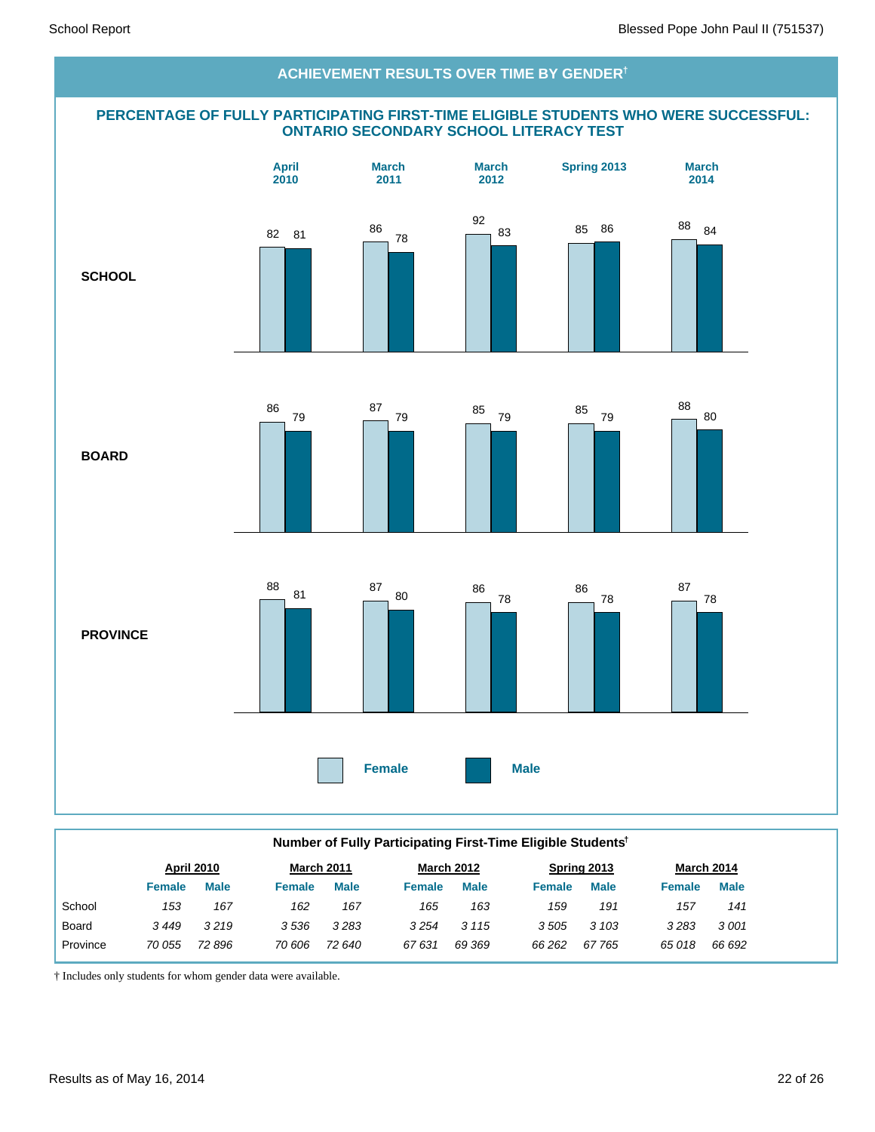

|          | Number of Fully Participating First-Time Eligible Students <sup>†</sup> |                   |               |                   |               |                   |               |             |               |                   |  |  |
|----------|-------------------------------------------------------------------------|-------------------|---------------|-------------------|---------------|-------------------|---------------|-------------|---------------|-------------------|--|--|
|          |                                                                         | <b>April 2010</b> |               | <b>March 2011</b> |               | <b>March 2012</b> |               | Spring 2013 |               | <b>March 2014</b> |  |  |
|          | <b>Female</b>                                                           | <b>Male</b>       | <b>Female</b> | <b>Male</b>       | <b>Female</b> | <b>Male</b>       | <b>Female</b> | <b>Male</b> | <b>Female</b> | <b>Male</b>       |  |  |
| School   | 153                                                                     | 167               | 162           | 167               | 165           | 163               | 159           | 191         | 157           | 141               |  |  |
| Board    | 3449                                                                    | 3219              | 3536          | 3283              | 3254          | 3 1 1 5           | 3505          | 3 103       | 3283          | 3001              |  |  |
| Province | 70 055                                                                  | 72 896            | 70 606        | 72 640            | 67631         | 69 369            | 66 262        | 67 765      | 65018         | 66 692            |  |  |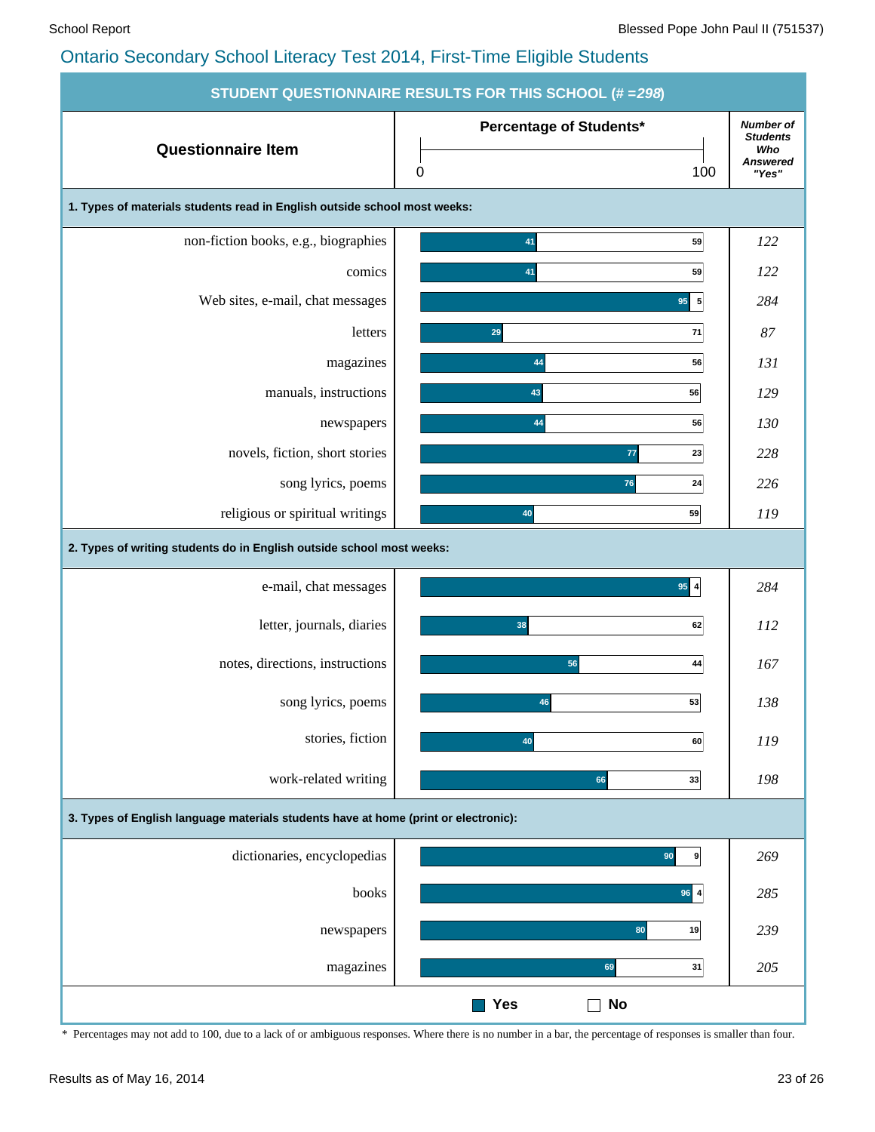|                                                                                     | <b>STUDENT QUESTIONNAIRE RESULTS FOR THIS SCHOOL (# = 298)</b> |                                                                        |
|-------------------------------------------------------------------------------------|----------------------------------------------------------------|------------------------------------------------------------------------|
| <b>Questionnaire Item</b>                                                           | Percentage of Students*<br>100<br>$\pmb{0}$                    | <b>Number of</b><br><b>Students</b><br>Who<br><b>Answered</b><br>"Yes" |
| 1. Types of materials students read in English outside school most weeks:           |                                                                |                                                                        |
| non-fiction books, e.g., biographies                                                | 41<br>59                                                       | 122                                                                    |
| comics                                                                              | 59<br>41                                                       | 122                                                                    |
| Web sites, e-mail, chat messages                                                    | $95 \overline{\smash{\big)}\ 5}$                               | 284                                                                    |
| letters                                                                             | 29<br>71                                                       | 87                                                                     |
| magazines                                                                           | 44<br>56                                                       | 131                                                                    |
| manuals, instructions                                                               | 43<br>56                                                       | 129                                                                    |
| newspapers                                                                          | 44<br>56                                                       | 130                                                                    |
| novels, fiction, short stories                                                      | 77<br>23                                                       | 228                                                                    |
| song lyrics, poems                                                                  | 76<br>24                                                       | 226                                                                    |
| religious or spiritual writings                                                     | 40<br>59                                                       | 119                                                                    |
| 2. Types of writing students do in English outside school most weeks:               |                                                                |                                                                        |
| e-mail, chat messages                                                               | $95$ 4                                                         | 284                                                                    |
| letter, journals, diaries                                                           | 38<br>62                                                       | <i>112</i>                                                             |
| notes, directions, instructions                                                     | 56<br>44                                                       | 167                                                                    |
| song lyrics, poems                                                                  | 53<br>46                                                       | 138                                                                    |
| stories, fiction                                                                    | 40<br>60                                                       | 119                                                                    |
| work-related writing                                                                | 66<br>33                                                       | 198                                                                    |
| 3. Types of English language materials students have at home (print or electronic): |                                                                |                                                                        |
| dictionaries, encyclopedias                                                         | 90<br>9 <sup>1</sup>                                           | 269                                                                    |
| books                                                                               | 96 4                                                           | 285                                                                    |
| newspapers                                                                          | 19<br>80                                                       | 239                                                                    |
| magazines                                                                           | 69<br>31                                                       | 205                                                                    |
|                                                                                     | Yes<br><b>No</b>                                               |                                                                        |

\* Percentages may not add to 100, due to a lack of or ambiguous responses. Where there is no number in a bar, the percentage of responses is smaller than four.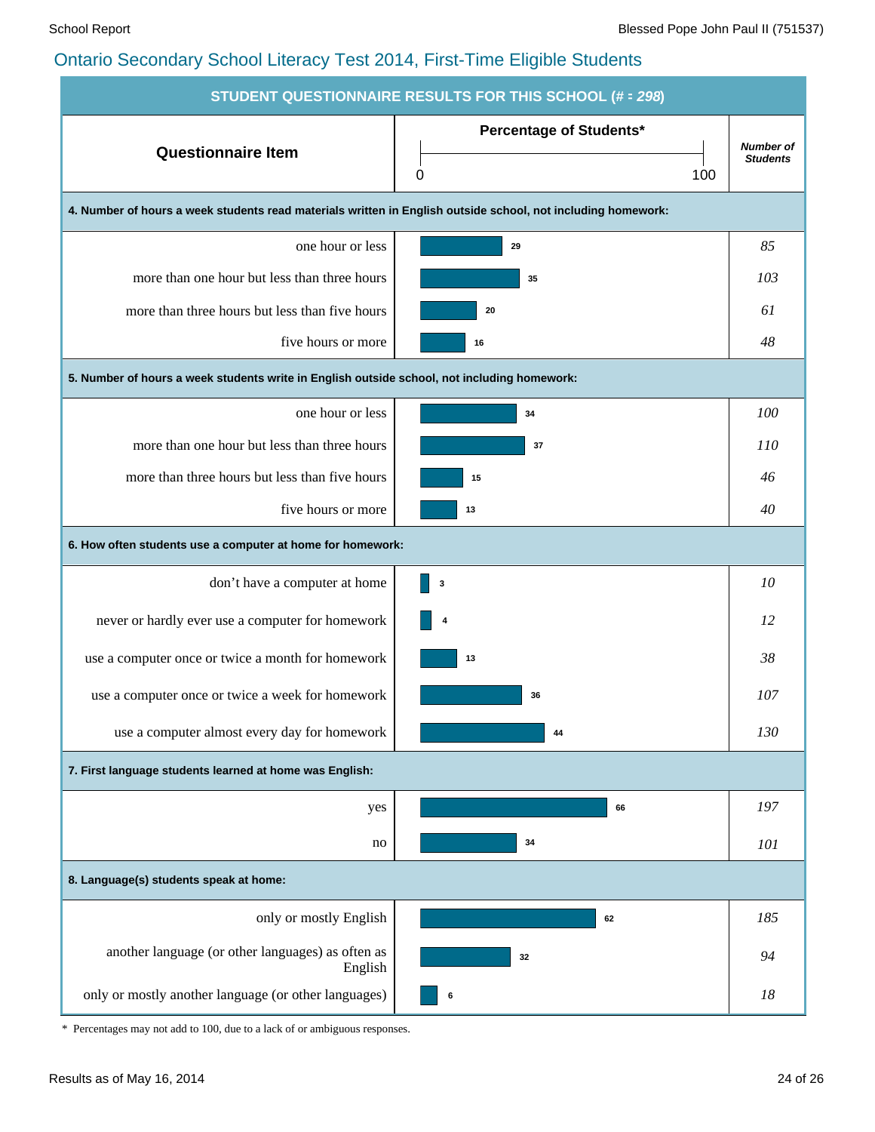| <b>STUDENT QUESTIONNAIRE RESULTS FOR THIS SCHOOL (# = 298)</b>                                               |                                |                                     |  |  |  |  |  |  |  |  |
|--------------------------------------------------------------------------------------------------------------|--------------------------------|-------------------------------------|--|--|--|--|--|--|--|--|
| <b>Questionnaire Item</b>                                                                                    | <b>Percentage of Students*</b> | <b>Number of</b><br><b>Students</b> |  |  |  |  |  |  |  |  |
|                                                                                                              | 100<br>0                       |                                     |  |  |  |  |  |  |  |  |
| 4. Number of hours a week students read materials written in English outside school, not including homework: |                                |                                     |  |  |  |  |  |  |  |  |
| one hour or less                                                                                             | 29                             | 85                                  |  |  |  |  |  |  |  |  |
| more than one hour but less than three hours                                                                 | 35                             | 103                                 |  |  |  |  |  |  |  |  |
| more than three hours but less than five hours                                                               | 20                             | 61                                  |  |  |  |  |  |  |  |  |
| five hours or more                                                                                           | 16                             | 48                                  |  |  |  |  |  |  |  |  |
| 5. Number of hours a week students write in English outside school, not including homework:                  |                                |                                     |  |  |  |  |  |  |  |  |
| one hour or less                                                                                             | 34                             | 100                                 |  |  |  |  |  |  |  |  |
| more than one hour but less than three hours                                                                 | 37                             | 110                                 |  |  |  |  |  |  |  |  |
| more than three hours but less than five hours                                                               | 15                             | 46                                  |  |  |  |  |  |  |  |  |
| five hours or more                                                                                           | 13                             | 40                                  |  |  |  |  |  |  |  |  |
| 6. How often students use a computer at home for homework:                                                   |                                |                                     |  |  |  |  |  |  |  |  |
| don't have a computer at home                                                                                | 3                              | 10                                  |  |  |  |  |  |  |  |  |
| never or hardly ever use a computer for homework                                                             | 4                              | 12                                  |  |  |  |  |  |  |  |  |
| use a computer once or twice a month for homework                                                            | 13                             | 38                                  |  |  |  |  |  |  |  |  |
| use a computer once or twice a week for homework                                                             | 36                             | 107                                 |  |  |  |  |  |  |  |  |
| use a computer almost every day for homework                                                                 | 44                             | 130                                 |  |  |  |  |  |  |  |  |
| 7. First language students learned at home was English:                                                      |                                |                                     |  |  |  |  |  |  |  |  |
| yes                                                                                                          | 66                             | 197                                 |  |  |  |  |  |  |  |  |
| no                                                                                                           | 34                             | 101                                 |  |  |  |  |  |  |  |  |
| 8. Language(s) students speak at home:                                                                       |                                |                                     |  |  |  |  |  |  |  |  |
| only or mostly English                                                                                       | 62                             | 185                                 |  |  |  |  |  |  |  |  |
| another language (or other languages) as often as<br>English                                                 | 32                             | 94                                  |  |  |  |  |  |  |  |  |
| only or mostly another language (or other languages)                                                         | 6                              | 18                                  |  |  |  |  |  |  |  |  |

\* Percentages may not add to 100, due to a lack of or ambiguous responses.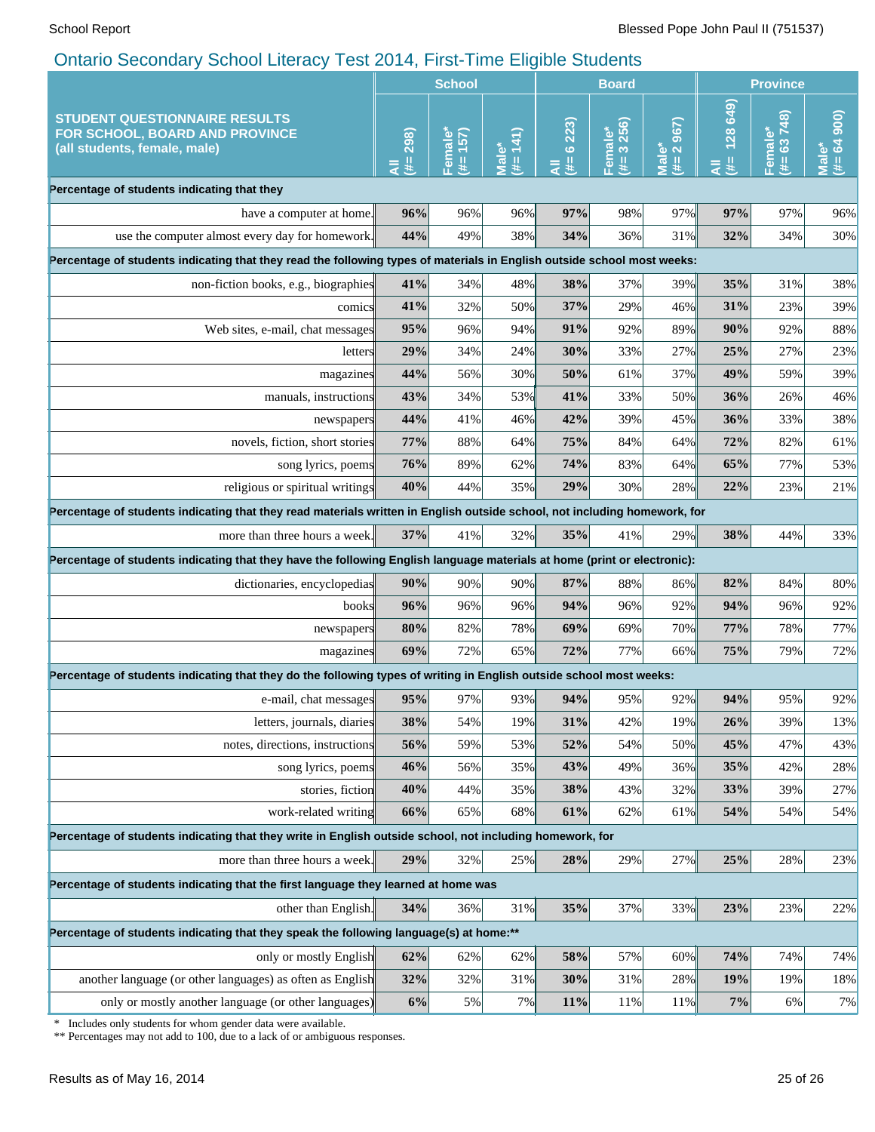|                                                                                                                                                 | <b>School</b>   |                     |                      | <b>Board</b>     |                     |                                | <b>Province</b>    |                         |                              |
|-------------------------------------------------------------------------------------------------------------------------------------------------|-----------------|---------------------|----------------------|------------------|---------------------|--------------------------------|--------------------|-------------------------|------------------------------|
| <b>STUDENT QUESTIONNAIRE RESULTS</b><br>FOR SCHOOL, BOARD AND PROVINCE<br>(all students, female, male)                                          | 298)<br>y.<br>₹ | 157)<br>Female<br># | (141)<br>Vlale<br>#= | 6223)<br>u.<br>₹ | 3256)<br>Femal<br># | 967)<br>Male*<br>(#= 2 $\zeta$ | 128 649<br>₩.<br>₹ | 63748)<br>Female*<br>共生 | $# = 64 900$<br><b>Male*</b> |
| Percentage of students indicating that they                                                                                                     |                 |                     |                      |                  |                     |                                |                    |                         |                              |
| have a computer at home.                                                                                                                        | 96%             | 96%                 | 96%                  | 97%              | 98%                 | 97%                            | 97%                | 97%                     | 96%                          |
| use the computer almost every day for homework.                                                                                                 | 44%             | 49%                 | 38%                  | 34%              | 36%                 | 31%                            | 32%                | 34%                     | 30%                          |
| Percentage of students indicating that they read the following types of materials in English outside school most weeks:                         |                 |                     |                      |                  |                     |                                |                    |                         |                              |
| non-fiction books, e.g., biographies                                                                                                            | 41%             | 34%                 | 48%                  | 38%              | 37%                 | 39%                            | 35%                | 31%                     | 38%                          |
| comics                                                                                                                                          | 41%             | 32%                 | 50%                  | 37%              | 29%                 | 46%                            | 31%                | 23%                     | 39%                          |
| Web sites, e-mail, chat messages                                                                                                                | 95%             | 96%                 | 94%                  | 91%              | 92%                 | 89%                            | 90%                | 92%                     | 88%                          |
| letters                                                                                                                                         | 29%             | 34%                 | 24%                  | 30%              | 33%                 | 27%                            | 25%                | 27%                     | 23%                          |
| magazines                                                                                                                                       | 44%             | 56%                 | 30%                  | 50%              | 61%                 | 37%                            | 49%                | 59%                     | 39%                          |
| manuals, instructions                                                                                                                           | 43%             | 34%                 | 53%                  | 41%              | 33%                 | 50%                            | 36%                | 26%                     | 46%                          |
| newspapers                                                                                                                                      | 44%             | 41%                 | 46%                  | 42%              | 39%                 | 45%                            | 36%                | 33%                     | 38%                          |
| novels, fiction, short stories                                                                                                                  | 77%             | 88%                 | 64%                  | 75%              | 84%                 | 64%                            | 72%                | 82%                     | 61%                          |
| song lyrics, poems                                                                                                                              | 76%             | 89%                 | 62%                  | 74%              | 83%                 | 64%                            | 65%                | 77%                     | 53%                          |
| religious or spiritual writings                                                                                                                 | 40%             | 44%                 | 35%                  | 29%              | 30%                 | 28%                            | 22%                | 23%                     | 21%                          |
| Percentage of students indicating that they read materials written in English outside school, not including homework, for                       |                 |                     |                      |                  |                     |                                |                    |                         |                              |
| more than three hours a week.                                                                                                                   | 37%             | 41%                 | 32%                  | 35%              | 41%                 | 29%                            | 38%                | 44%                     | 33%                          |
| Percentage of students indicating that they have the following English language materials at home (print or electronic):                        |                 |                     |                      |                  |                     |                                |                    |                         |                              |
| dictionaries, encyclopedias                                                                                                                     | 90%             | 90%                 | 90%                  | 87%              | 88%                 | 86%                            | 82%                | 84%                     | 80%                          |
| books                                                                                                                                           | 96%             | 96%                 | 96%                  | 94%              | 96%                 | 92%                            | 94%                | 96%                     | 92%                          |
| newspapers                                                                                                                                      | 80%             | 82%                 | 78%                  | 69%              | 69%                 | 70%                            | 77%                | 78%                     | 77%                          |
| magazines                                                                                                                                       | 69%             | 72%                 | 65%                  | 72%              | 77%                 | 66%                            | 75%                | 79%                     | 72%                          |
| Percentage of students indicating that they do the following types of writing in English outside school most weeks:                             |                 |                     |                      |                  |                     |                                |                    |                         |                              |
| e-mail, chat messages                                                                                                                           | 95%             | 97%                 | 93%                  | 94%              | 95%                 | 92%                            | 94%                | 95%                     | 92%                          |
| letters, journals, diaries                                                                                                                      | 38%             | 54%                 | 19%                  | 31%              | 42%                 | 19%                            | 26%                | 39%                     | 13%                          |
| notes, directions, instructions                                                                                                                 | 56%             | 59%                 | 53%                  | 52%              | 54%                 | 50%                            | 45%                | 47%                     | 43%                          |
| song lyrics, poems                                                                                                                              | 46%             | 56%                 | 35%                  | 43%              | 49%                 | 36%                            | 35%                | 42%                     | 28%                          |
| stories, fiction                                                                                                                                | 40%             | 44%                 | 35%                  | 38%              | 43%                 | 32%                            | 33%                | 39%                     | 27%                          |
| work-related writing                                                                                                                            | 66%             | 65%                 | 68%                  | 61%              | 62%                 | 61%                            | 54%                | 54%                     | 54%                          |
| Percentage of students indicating that they write in English outside school, not including homework, for                                        |                 |                     |                      |                  |                     |                                |                    |                         |                              |
| more than three hours a week.                                                                                                                   | 29%             | 32%                 | 25%                  | 28%              | 29%                 | 27%                            | 25%                | 28%                     | 23%                          |
| Percentage of students indicating that the first language they learned at home was                                                              |                 |                     |                      |                  |                     |                                |                    |                         |                              |
| other than English.                                                                                                                             | 34%             | 36%                 | 31%                  | 35%              | 37%                 | 33%                            | 23%                | 23%                     | 22%                          |
| Percentage of students indicating that they speak the following language(s) at home:**                                                          |                 |                     |                      |                  |                     |                                |                    |                         |                              |
| only or mostly English                                                                                                                          | 62%             | 62%                 | 62%                  | 58%              | 57%                 | 60%                            | 74%                | 74%                     | 74%                          |
| another language (or other languages) as often as English                                                                                       | 32%             | 32%                 | 31%                  | 30%              | 31%                 | 28%                            | 19%                | 19%                     | 18%                          |
| only or mostly another language (or other languages)                                                                                            | 6%              | 5%                  | 7%                   | 11%              | 11%                 | 11%                            | 7%                 | 6%                      | 7%                           |
| Includes only students for whom gender data were available.<br>∗<br>** Percentages may not add to 100, due to a lack of or ambiguous responses. |                 |                     |                      |                  |                     |                                |                    |                         |                              |